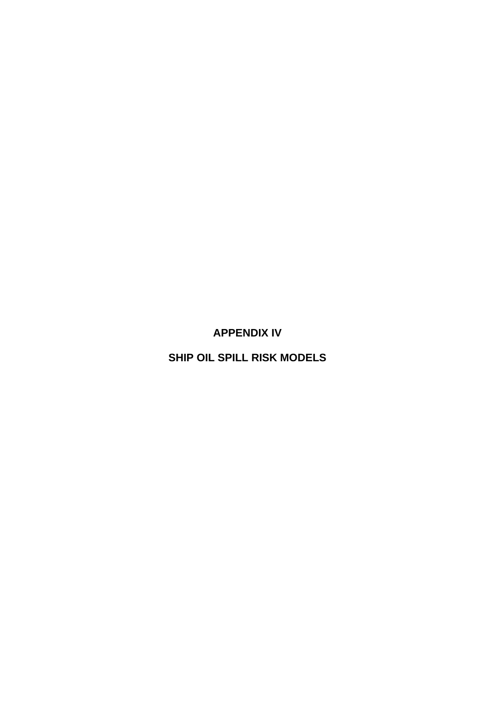**APPENDIX IV** 

**SHIP OIL SPILL RISK MODELS**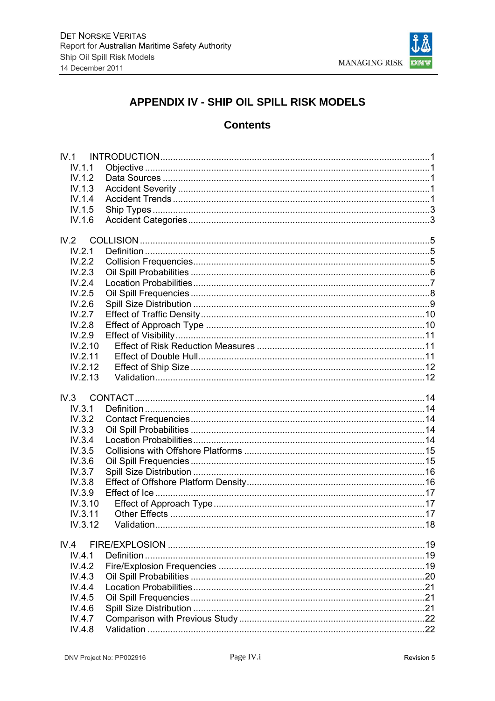

# APPENDIX IV - SHIP OIL SPILL RISK MODELS

# **Contents**

| IV.1    |  |
|---------|--|
| IV.1.1  |  |
| IV.1.2  |  |
| IV.1.3  |  |
| IV.1.4  |  |
| IV.1.5  |  |
| IV.1.6  |  |
|         |  |
|         |  |
| IV.2.1  |  |
| IV.2.2  |  |
| IV.2.3  |  |
| IV.2.4  |  |
| IV.2.5  |  |
| IV.2.6  |  |
| IV.2.7  |  |
| IV.2.8  |  |
| IV.2.9  |  |
| IV.2.10 |  |
| IV.2.11 |  |
| IV.2.12 |  |
| IV.2.13 |  |
| IV.3    |  |
| IV.3.1  |  |
| IV.3.2  |  |
| IV.3.3  |  |
| IV.3.4  |  |
| IV.3.5  |  |
| IV.3.6  |  |
| IV.3.7  |  |
| IV.3.8  |  |
|         |  |
| IV.3.9  |  |
| IV.3.10 |  |
| IV.3.11 |  |
| IV.3.12 |  |
| IV.4    |  |
| IV.4.1  |  |
| IV.4.2  |  |
| IV.4.3  |  |
| IV.4.4  |  |
| IV.4.5  |  |
| IV.4.6  |  |
| IV.4.7  |  |
| IV.4.8  |  |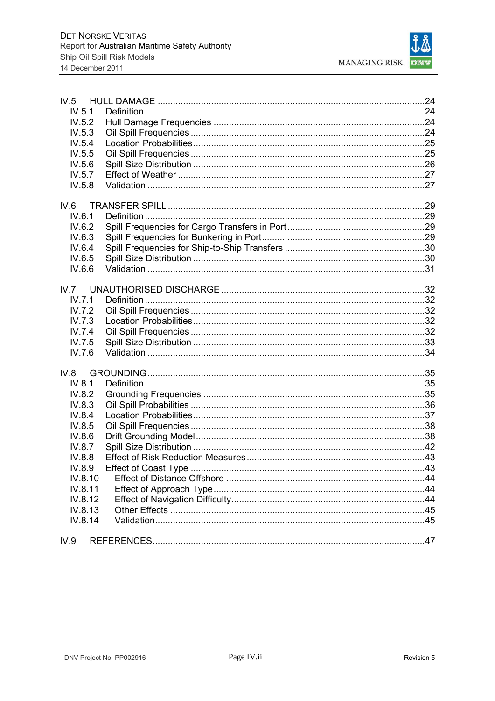| IV.5    |  |
|---------|--|
| IV.5.1  |  |
| IV.5.2  |  |
| IV.5.3  |  |
| IV.5.4  |  |
| IV.5.5  |  |
| IV.5.6  |  |
| IV.5.7  |  |
| IV.5.8  |  |
| IV.6    |  |
| IV.6.1  |  |
| IV.6.2  |  |
| IV.6.3  |  |
| IV.6.4  |  |
| IV.6.5  |  |
| IV.6.6  |  |
|         |  |
|         |  |
| IV.7.1  |  |
| IV.7.2  |  |
| IV.7.3  |  |
| IV.7.4  |  |
| IV.7.5  |  |
| IV.7.6  |  |
| IV.8    |  |
| IV.8.1  |  |
| IV.8.2  |  |
| IV.8.3  |  |
| IV.8.4  |  |
| IV.8.5  |  |
| IV.8.6  |  |
| IV.8.7  |  |
| IV.8.8  |  |
| IV.8.9  |  |
| IV.8.10 |  |
| IV.8.11 |  |
| IV.8.12 |  |
| IV.8.13 |  |
| IV.8.14 |  |
| IV.9    |  |
|         |  |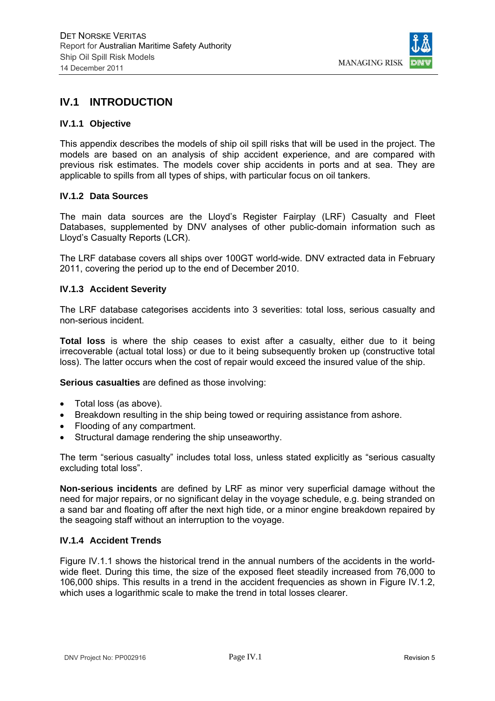

## **IV.1 INTRODUCTION**

#### **IV.1.1 Objective**

This appendix describes the models of ship oil spill risks that will be used in the project. The models are based on an analysis of ship accident experience, and are compared with previous risk estimates. The models cover ship accidents in ports and at sea. They are applicable to spills from all types of ships, with particular focus on oil tankers.

#### **IV.1.2 Data Sources**

The main data sources are the Lloyd's Register Fairplay (LRF) Casualty and Fleet Databases, supplemented by DNV analyses of other public-domain information such as Lloyd's Casualty Reports (LCR).

The LRF database covers all ships over 100GT world-wide. DNV extracted data in February 2011, covering the period up to the end of December 2010.

#### **IV.1.3 Accident Severity**

The LRF database categorises accidents into 3 severities: total loss, serious casualty and non-serious incident.

**Total loss** is where the ship ceases to exist after a casualty, either due to it being irrecoverable (actual total loss) or due to it being subsequently broken up (constructive total loss). The latter occurs when the cost of repair would exceed the insured value of the ship.

**Serious casualties** are defined as those involving:

- Total loss (as above).
- Breakdown resulting in the ship being towed or requiring assistance from ashore.
- Flooding of any compartment.
- Structural damage rendering the ship unseaworthy.

The term "serious casualty" includes total loss, unless stated explicitly as "serious casualty excluding total loss".

**Non-serious incidents** are defined by LRF as minor very superficial damage without the need for major repairs, or no significant delay in the voyage schedule, e.g. being stranded on a sand bar and floating off after the next high tide, or a minor engine breakdown repaired by the seagoing staff without an interruption to the voyage.

## **IV.1.4 Accident Trends**

Figure IV.1.1 shows the historical trend in the annual numbers of the accidents in the worldwide fleet. During this time, the size of the exposed fleet steadily increased from 76,000 to 106,000 ships. This results in a trend in the accident frequencies as shown in Figure IV.1.2, which uses a logarithmic scale to make the trend in total losses clearer.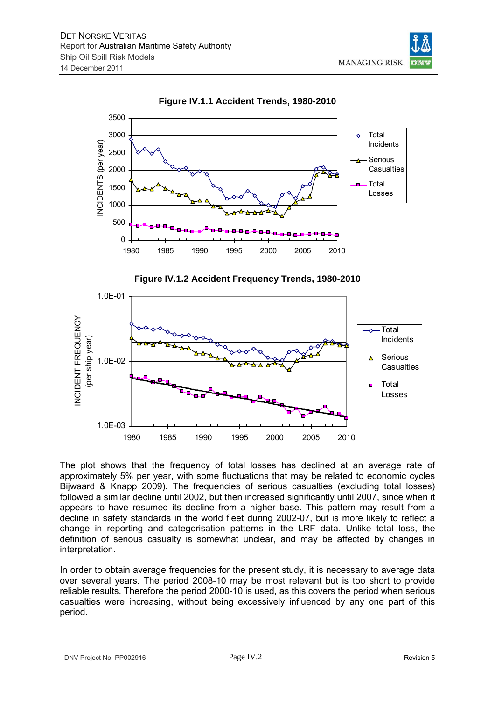



**Figure IV.1.1 Accident Trends, 1980-2010** 





The plot shows that the frequency of total losses has declined at an average rate of approximately 5% per year, with some fluctuations that may be related to economic cycles Bijwaard & Knapp 2009). The frequencies of serious casualties (excluding total losses) followed a similar decline until 2002, but then increased significantly until 2007, since when it appears to have resumed its decline from a higher base. This pattern may result from a decline in safety standards in the world fleet during 2002-07, but is more likely to reflect a change in reporting and categorisation patterns in the LRF data. Unlike total loss, the definition of serious casualty is somewhat unclear, and may be affected by changes in interpretation.

In order to obtain average frequencies for the present study, it is necessary to average data over several years. The period 2008-10 may be most relevant but is too short to provide reliable results. Therefore the period 2000-10 is used, as this covers the period when serious casualties were increasing, without being excessively influenced by any one part of this period.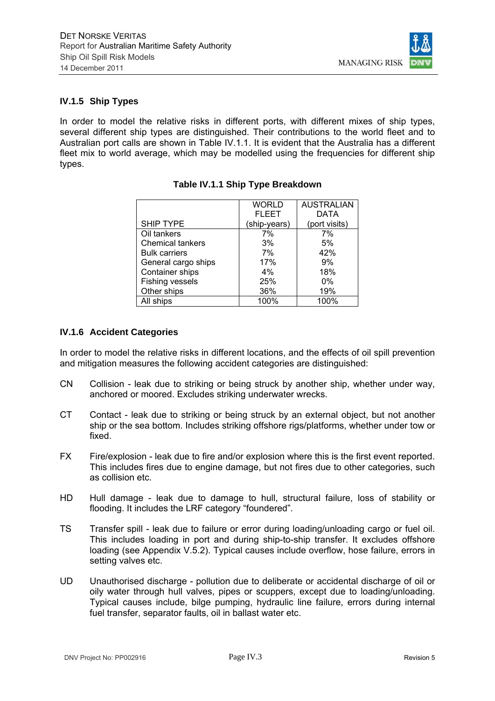

## **IV.1.5 Ship Types**

In order to model the relative risks in different ports, with different mixes of ship types, several different ship types are distinguished. Their contributions to the world fleet and to Australian port calls are shown in Table IV.1.1. It is evident that the Australia has a different fleet mix to world average, which may be modelled using the frequencies for different ship types.

|                         | <b>WORLD</b> | <b>AUSTRALIAN</b> |
|-------------------------|--------------|-------------------|
|                         | <b>FLEET</b> | DATA              |
| <b>SHIP TYPE</b>        | (ship-years) | (port visits)     |
| Oil tankers             | 7%           | 7%                |
| <b>Chemical tankers</b> | 3%           | 5%                |
| <b>Bulk carriers</b>    | 7%           | 42%               |
| General cargo ships     | 17%          | 9%                |
| Container ships         | $4\%$        | 18%               |
| Fishing vessels         | 25%          | $0\%$             |
| Other ships             | 36%          | 19%               |
| All ships               | 100%         | 100%              |

## **Table IV.1.1 Ship Type Breakdown**

## **IV.1.6 Accident Categories**

In order to model the relative risks in different locations, and the effects of oil spill prevention and mitigation measures the following accident categories are distinguished:

- CN Collision leak due to striking or being struck by another ship, whether under way, anchored or moored. Excludes striking underwater wrecks.
- CT Contact leak due to striking or being struck by an external object, but not another ship or the sea bottom. Includes striking offshore rigs/platforms, whether under tow or fixed.
- FX Fire/explosion leak due to fire and/or explosion where this is the first event reported. This includes fires due to engine damage, but not fires due to other categories, such as collision etc.
- HD Hull damage leak due to damage to hull, structural failure, loss of stability or flooding. It includes the LRF category "foundered".
- TS Transfer spill leak due to failure or error during loading/unloading cargo or fuel oil. This includes loading in port and during ship-to-ship transfer. It excludes offshore loading (see Appendix V.5.2). Typical causes include overflow, hose failure, errors in setting valves etc.
- UD Unauthorised discharge pollution due to deliberate or accidental discharge of oil or oily water through hull valves, pipes or scuppers, except due to loading/unloading. Typical causes include, bilge pumping, hydraulic line failure, errors during internal fuel transfer, separator faults, oil in ballast water etc.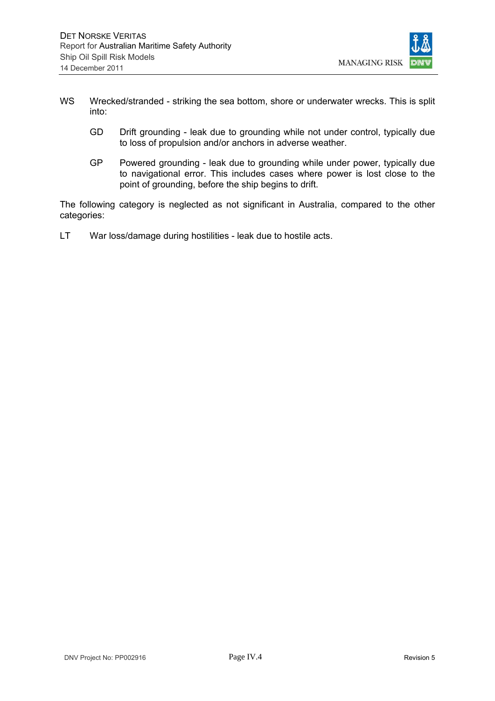

- WS Wrecked/stranded striking the sea bottom, shore or underwater wrecks. This is split into:
	- GD Drift grounding leak due to grounding while not under control, typically due to loss of propulsion and/or anchors in adverse weather.
	- GP Powered grounding leak due to grounding while under power, typically due to navigational error. This includes cases where power is lost close to the point of grounding, before the ship begins to drift.

The following category is neglected as not significant in Australia, compared to the other categories:

LT War loss/damage during hostilities - leak due to hostile acts.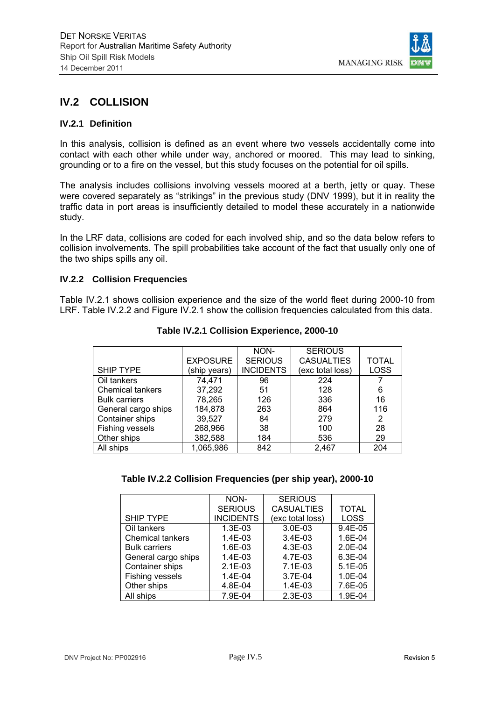

# **IV.2 COLLISION**

#### **IV.2.1 Definition**

In this analysis, collision is defined as an event where two vessels accidentally come into contact with each other while under way, anchored or moored. This may lead to sinking, grounding or to a fire on the vessel, but this study focuses on the potential for oil spills.

The analysis includes collisions involving vessels moored at a berth, jetty or quay. These were covered separately as "strikings" in the previous study (DNV 1999), but it in reality the traffic data in port areas is insufficiently detailed to model these accurately in a nationwide study.

In the LRF data, collisions are coded for each involved ship, and so the data below refers to collision involvements. The spill probabilities take account of the fact that usually only one of the two ships spills any oil.

#### **IV.2.2 Collision Frequencies**

Table IV.2.1 shows collision experience and the size of the world fleet during 2000-10 from LRF. Table IV.2.2 and Figure IV.2.1 show the collision frequencies calculated from this data.

|                         |                 | NON-             | <b>SERIOUS</b>    |              |
|-------------------------|-----------------|------------------|-------------------|--------------|
|                         | <b>EXPOSURE</b> | <b>SERIOUS</b>   | <b>CASUALTIES</b> | <b>TOTAL</b> |
| <b>SHIP TYPE</b>        | (ship years)    | <b>INCIDENTS</b> | (exc total loss)  | <b>LOSS</b>  |
| Oil tankers             | 74,471          | 96               | 224               |              |
| <b>Chemical tankers</b> | 37,292          | 51               | 128               | 6            |
| <b>Bulk carriers</b>    | 78,265          | 126              | 336               | 16           |
| General cargo ships     | 184,878         | 263              | 864               | 116          |
| Container ships         | 39,527          | 84               | 279               | 2            |
| Fishing vessels         | 268,966         | 38               | 100               | 28           |
| Other ships             | 382,588         | 184              | 536               | 29           |
| All ships               | 1,065,986       | 842              | 2,467             | 204          |
|                         |                 |                  |                   |              |

**Table IV.2.1 Collision Experience, 2000-10** 

| Table IV.2.2 Collision Frequencies (per ship year), 2000-10 |  |  |
|-------------------------------------------------------------|--|--|
|                                                             |  |  |

|                         | NON-             | <b>SERIOUS</b>    |              |
|-------------------------|------------------|-------------------|--------------|
|                         |                  |                   |              |
|                         | <b>SERIOUS</b>   | <b>CASUALTIES</b> | <b>TOTAL</b> |
| <b>SHIP TYPE</b>        | <b>INCIDENTS</b> | (exc total loss)  | <b>LOSS</b>  |
| Oil tankers             | 1.3E-03          | 3.0E-03           | 9.4E-05      |
| <b>Chemical tankers</b> | $1.4E-03$        | $3.4E-03$         | 1.6E-04      |
| <b>Bulk carriers</b>    | 1.6E-03          | 4.3E-03           | 2.0E-04      |
| General cargo ships     | $1.4E-03$        | 4.7E-03           | $6.3E-04$    |
| Container ships         | $2.1E-03$        | $7.1E-03$         | $5.1E-0.5$   |
| Fishing vessels         | $1.4E - 04$      | $3.7E-04$         | 1.0E-04      |
| Other ships             | 4.8E-04          | 1.4E-03           | 7.6E-05      |
| All ships               | 7.9E-04          | $2.3E-03$         | 1.9E-04      |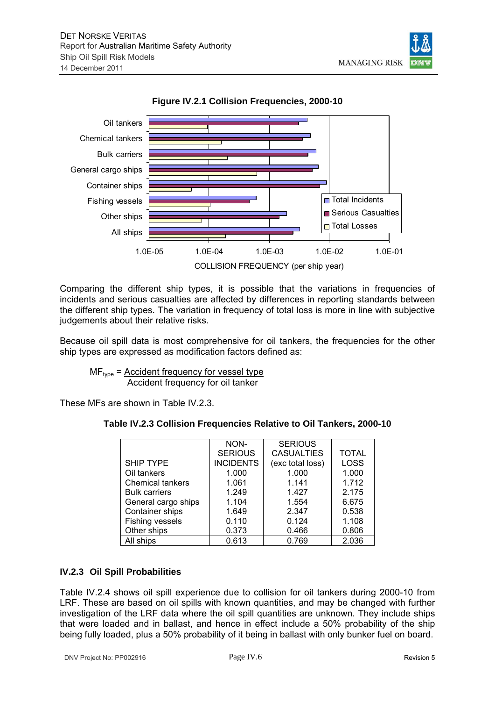



**Figure IV.2.1 Collision Frequencies, 2000-10** 

Comparing the different ship types, it is possible that the variations in frequencies of incidents and serious casualties are affected by differences in reporting standards between the different ship types. The variation in frequency of total loss is more in line with subjective judgements about their relative risks.

Because oil spill data is most comprehensive for oil tankers, the frequencies for the other ship types are expressed as modification factors defined as:

 $MF<sub>type</sub>$  = Accident frequency for vessel type Accident frequency for oil tanker

These MFs are shown in Table IV.2.3.

| Table IV.2.3 Collision Frequencies Relative to Oil Tankers, 2000-10 |  |
|---------------------------------------------------------------------|--|
|---------------------------------------------------------------------|--|

|                         | NON-             | <b>SERIOUS</b>    |              |
|-------------------------|------------------|-------------------|--------------|
|                         | <b>SERIOUS</b>   | <b>CASUALTIES</b> | <b>TOTAL</b> |
| SHIP TYPE               | <b>INCIDENTS</b> | (exc total loss)  | <b>LOSS</b>  |
| Oil tankers             | 1.000            | 1.000             | 1.000        |
| <b>Chemical tankers</b> | 1.061            | 1.141             | 1.712        |
| <b>Bulk carriers</b>    | 1.249            | 1.427             | 2.175        |
| General cargo ships     | 1.104            | 1.554             | 6.675        |
| Container ships         | 1.649            | 2.347             | 0.538        |
| Fishing vessels         | 0.110            | 0.124             | 1.108        |
| Other ships             | 0.373            | 0.466             | 0.806        |
| All ships               | 0.613            | 0.769             | 2.036        |

## **IV.2.3 Oil Spill Probabilities**

Table IV.2.4 shows oil spill experience due to collision for oil tankers during 2000-10 from LRF. These are based on oil spills with known quantities, and may be changed with further investigation of the LRF data where the oil spill quantities are unknown. They include ships that were loaded and in ballast, and hence in effect include a 50% probability of the ship being fully loaded, plus a 50% probability of it being in ballast with only bunker fuel on board.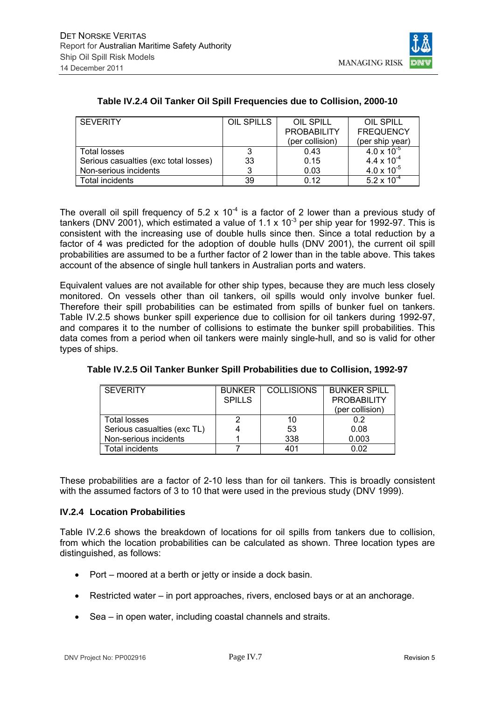

| <b>SEVERITY</b>                       | OIL SPILLS | OIL SPILL          | OIL SPILL            |
|---------------------------------------|------------|--------------------|----------------------|
|                                       |            | <b>PROBABILITY</b> | <b>FREQUENCY</b>     |
|                                       |            | (per collision)    | (per ship year)      |
| <b>Total losses</b>                   | 3          | 0.43               | $4.0 \times 10^{-5}$ |
| Serious casualties (exc total losses) | 33         | 0.15               | $4.4 \times 10^{-4}$ |
| Non-serious incidents                 |            | 0.03               | $4.0 \times 10^{-5}$ |
| Total incidents                       | 39         | 0.12               | $5.2 \times 10^{-4}$ |

## **Table IV.2.4 Oil Tanker Oil Spill Frequencies due to Collision, 2000-10**

The overall oil spill frequency of 5.2 x  $10^{-4}$  is a factor of 2 lower than a previous study of tankers (DNV 2001), which estimated a value of 1.1 x 10<sup>-3</sup> per ship year for 1992-97. This is consistent with the increasing use of double hulls since then. Since a total reduction by a factor of 4 was predicted for the adoption of double hulls (DNV 2001), the current oil spill probabilities are assumed to be a further factor of 2 lower than in the table above. This takes account of the absence of single hull tankers in Australian ports and waters.

Equivalent values are not available for other ship types, because they are much less closely monitored. On vessels other than oil tankers, oil spills would only involve bunker fuel. Therefore their spill probabilities can be estimated from spills of bunker fuel on tankers. Table IV.2.5 shows bunker spill experience due to collision for oil tankers during 1992-97, and compares it to the number of collisions to estimate the bunker spill probabilities. This data comes from a period when oil tankers were mainly single-hull, and so is valid for other types of ships.

| <b>SEVERITY</b>             | <b>BUNKER</b> | <b>COLLISIONS</b> | <b>BUNKER SPILL</b> |
|-----------------------------|---------------|-------------------|---------------------|
|                             | <b>SPILLS</b> |                   | <b>PROBABILITY</b>  |
|                             |               |                   | (per collision)     |
| Total losses                |               | 10                | 0.2                 |
| Serious casualties (exc TL) |               | 53                | 0.08                |
| Non-serious incidents       |               | 338               | 0.003               |
| Total incidents             |               | 401               | 0.02                |

**Table IV.2.5 Oil Tanker Bunker Spill Probabilities due to Collision, 1992-97** 

These probabilities are a factor of 2-10 less than for oil tankers. This is broadly consistent with the assumed factors of 3 to 10 that were used in the previous study (DNV 1999).

## **IV.2.4 Location Probabilities**

Table IV.2.6 shows the breakdown of locations for oil spills from tankers due to collision, from which the location probabilities can be calculated as shown. Three location types are distinguished, as follows:

- Port moored at a berth or jetty or inside a dock basin.
- Restricted water in port approaches, rivers, enclosed bays or at an anchorage.
- Sea in open water, including coastal channels and straits.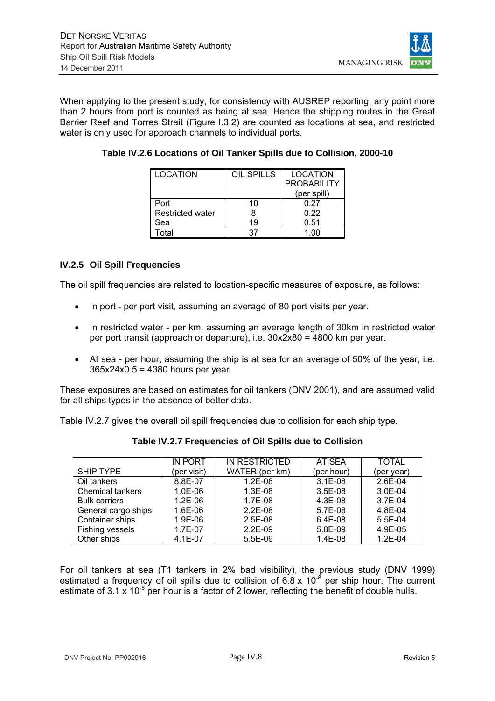

When applying to the present study, for consistency with AUSREP reporting, any point more than 2 hours from port is counted as being at sea. Hence the shipping routes in the Great Barrier Reef and Torres Strait (Figure I.3.2) are counted as locations at sea, and restricted water is only used for approach channels to individual ports.

| <b>LOCATION</b>         | OIL SPILLS | <b>LOCATION</b>    |
|-------------------------|------------|--------------------|
|                         |            | <b>PROBABILITY</b> |
|                         |            | (per spill)        |
| Port                    | 10         | 0.27               |
| <b>Restricted water</b> | 8          | 0.22               |
| Sea                     | 19         | 0.51               |
| Total                   | 37         | 1.00               |

**Table IV.2.6 Locations of Oil Tanker Spills due to Collision, 2000-10** 

## **IV.2.5 Oil Spill Frequencies**

The oil spill frequencies are related to location-specific measures of exposure, as follows:

- In port per port visit, assuming an average of 80 port visits per year.
- In restricted water per km, assuming an average length of 30km in restricted water per port transit (approach or departure), i.e. 30x2x80 = 4800 km per year.
- At sea per hour, assuming the ship is at sea for an average of 50% of the year, i.e. 365x24x0.5 = 4380 hours per year.

These exposures are based on estimates for oil tankers (DNV 2001), and are assumed valid for all ships types in the absence of better data.

Table IV.2.7 gives the overall oil spill frequencies due to collision for each ship type.

|                         | <b>IN PORT</b> | IN RESTRICTED  | AT SEA     | <b>TOTAL</b> |
|-------------------------|----------------|----------------|------------|--------------|
| <b>SHIP TYPE</b>        | (per visit)    | WATER (per km) | (per hour) | (per year)   |
| Oil tankers             | 8.8E-07        | $1.2E-08$      | $3.1E-08$  | 2.6E-04      |
| <b>Chemical tankers</b> | $1.0E-06$      | $1.3E-08$      | $3.5E-08$  | $3.0E-04$    |
| <b>Bulk carriers</b>    | $1.2E-06$      | 1.7E-08        | $4.3E-08$  | 3.7E-04      |
| General cargo ships     | 1.6E-06        | $2.2E-08$      | 5.7E-08    | 4.8E-04      |
| Container ships         | 1.9E-06        | $2.5E-08$      | $6.4E-08$  | $5.5E-04$    |
| Fishing vessels         | 1.7E-07        | $2.2E-09$      | 5.8E-09    | 4.9E-05      |
| Other ships             | $4.1E-07$      | 5.5E-09        | $1.4E-08$  | $1.2E-04$    |

**Table IV.2.7 Frequencies of Oil Spills due to Collision** 

For oil tankers at sea (T1 tankers in 2% bad visibility), the previous study (DNV 1999) estimated a frequency of oil spills due to collision of  $6.8 \times 10^{-8}$  per ship hour. The current estimate of 3.1 x  $10^{-8}$  per hour is a factor of 2 lower, reflecting the benefit of double hulls.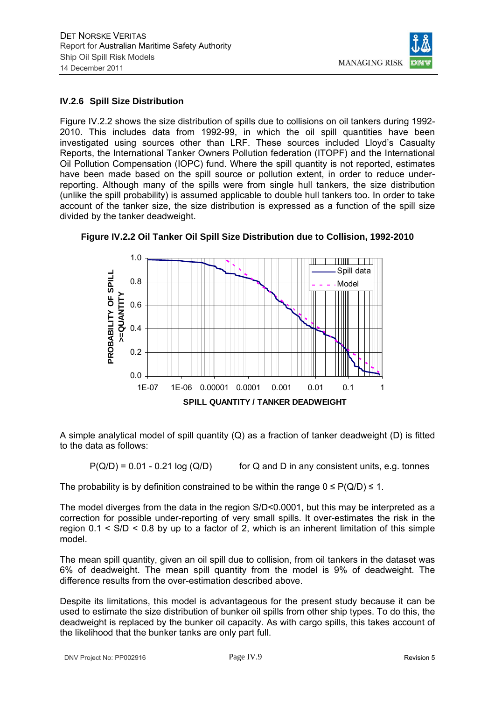

## **IV.2.6 Spill Size Distribution**

Figure IV.2.2 shows the size distribution of spills due to collisions on oil tankers during 1992- 2010. This includes data from 1992-99, in which the oil spill quantities have been investigated using sources other than LRF. These sources included Lloyd's Casualty Reports, the International Tanker Owners Pollution federation (ITOPF) and the International Oil Pollution Compensation (IOPC) fund. Where the spill quantity is not reported, estimates have been made based on the spill source or pollution extent, in order to reduce underreporting. Although many of the spills were from single hull tankers, the size distribution (unlike the spill probability) is assumed applicable to double hull tankers too. In order to take account of the tanker size, the size distribution is expressed as a function of the spill size divided by the tanker deadweight.



**Figure IV.2.2 Oil Tanker Oil Spill Size Distribution due to Collision, 1992-2010** 

A simple analytical model of spill quantity (Q) as a fraction of tanker deadweight (D) is fitted to the data as follows:

 $P(Q/D) = 0.01 - 0.21 \log (Q/D)$  for Q and D in any consistent units, e.g. tonnes

The probability is by definition constrained to be within the range  $0 \leq P(Q/D) \leq 1$ .

The model diverges from the data in the region S/D<0.0001, but this may be interpreted as a correction for possible under-reporting of very small spills. It over-estimates the risk in the region  $0.1 \leq S/D \leq 0.8$  by up to a factor of 2, which is an inherent limitation of this simple model.

The mean spill quantity, given an oil spill due to collision, from oil tankers in the dataset was 6% of deadweight. The mean spill quantity from the model is 9% of deadweight. The difference results from the over-estimation described above.

Despite its limitations, this model is advantageous for the present study because it can be used to estimate the size distribution of bunker oil spills from other ship types. To do this, the deadweight is replaced by the bunker oil capacity. As with cargo spills, this takes account of the likelihood that the bunker tanks are only part full.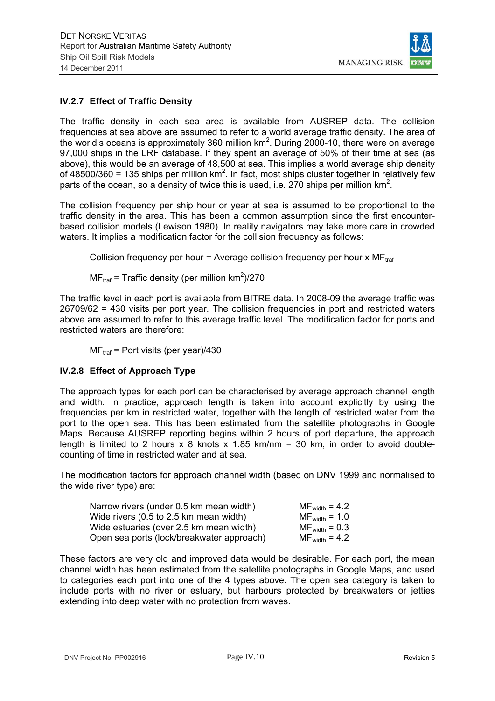

## **IV.2.7 Effect of Traffic Density**

The traffic density in each sea area is available from AUSREP data. The collision frequencies at sea above are assumed to refer to a world average traffic density. The area of the world's oceans is approximately 360 million  $km^2$ . During 2000-10, there were on average 97,000 ships in the LRF database. If they spent an average of 50% of their time at sea (as above), this would be an average of 48,500 at sea. This implies a world average ship density of 48500/360 = 135 ships per million  $km^2$ . In fact, most ships cluster together in relatively few parts of the ocean, so a density of twice this is used, i.e. 270 ships per million  $km^2$ .

The collision frequency per ship hour or year at sea is assumed to be proportional to the traffic density in the area. This has been a common assumption since the first encounterbased collision models (Lewison 1980). In reality navigators may take more care in crowded waters. It implies a modification factor for the collision frequency as follows:

Collision frequency per hour = Average collision frequency per hour x  $MF_{\text{ref}}$ 

 $MF_{\text{traf}}$  = Traffic density (per million km<sup>2</sup>)/270

The traffic level in each port is available from BITRE data. In 2008-09 the average traffic was 26709/62 = 430 visits per port year. The collision frequencies in port and restricted waters above are assumed to refer to this average traffic level. The modification factor for ports and restricted waters are therefore:

 $MF<sub>traf</sub>$  = Port visits (per year)/430

## **IV.2.8 Effect of Approach Type**

The approach types for each port can be characterised by average approach channel length and width. In practice, approach length is taken into account explicitly by using the frequencies per km in restricted water, together with the length of restricted water from the port to the open sea. This has been estimated from the satellite photographs in Google Maps. Because AUSREP reporting begins within 2 hours of port departure, the approach length is limited to 2 hours  $x$  8 knots  $x$  1.85 km/nm = 30 km, in order to avoid doublecounting of time in restricted water and at sea.

The modification factors for approach channel width (based on DNV 1999 and normalised to the wide river type) are:

| Narrow rivers (under 0.5 km mean width)   | $MF_{width} = 4.2$ |
|-------------------------------------------|--------------------|
| Wide rivers (0.5 to 2.5 km mean width)    | $MF_{width} = 1.0$ |
| Wide estuaries (over 2.5 km mean width)   | $MF_{width} = 0.3$ |
| Open sea ports (lock/breakwater approach) | $MF_{width} = 4.2$ |

These factors are very old and improved data would be desirable. For each port, the mean channel width has been estimated from the satellite photographs in Google Maps, and used to categories each port into one of the 4 types above. The open sea category is taken to include ports with no river or estuary, but harbours protected by breakwaters or jetties extending into deep water with no protection from waves.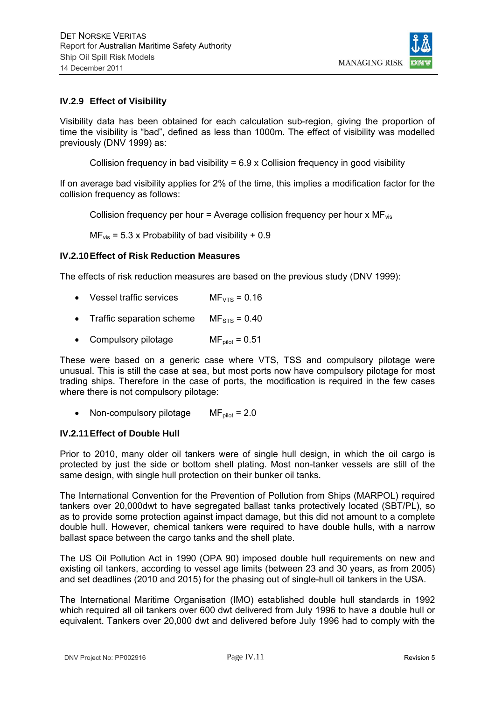

#### **IV.2.9 Effect of Visibility**

Visibility data has been obtained for each calculation sub-region, giving the proportion of time the visibility is "bad", defined as less than 1000m. The effect of visibility was modelled previously (DNV 1999) as:

Collision frequency in bad visibility = 6.9 x Collision frequency in good visibility

If on average bad visibility applies for 2% of the time, this implies a modification factor for the collision frequency as follows:

Collision frequency per hour = Average collision frequency per hour  $x M F_{vis}$ 

 $MF_{vis}$  = 5.3 x Probability of bad visibility + 0.9

#### **IV.2.10 Effect of Risk Reduction Measures**

The effects of risk reduction measures are based on the previous study (DNV 1999):

- Vessel traffic services  $MF_{VTS} = 0.16$
- Traffic separation scheme  $MF_{STS} = 0.40$
- Compulsory pilotage  $MF_{pilot} = 0.51$

These were based on a generic case where VTS, TSS and compulsory pilotage were unusual. This is still the case at sea, but most ports now have compulsory pilotage for most trading ships. Therefore in the case of ports, the modification is required in the few cases where there is not compulsory pilotage:

• Non-compulsory pilotage  $MF_{pilot} = 2.0$ 

#### **IV.2.11 Effect of Double Hull**

Prior to 2010, many older oil tankers were of single hull design, in which the oil cargo is protected by just the side or bottom shell plating. Most non-tanker vessels are still of the same design, with single hull protection on their bunker oil tanks.

The International Convention for the Prevention of Pollution from Ships (MARPOL) required tankers over 20,000dwt to have segregated ballast tanks protectively located (SBT/PL), so as to provide some protection against impact damage, but this did not amount to a complete double hull. However, chemical tankers were required to have double hulls, with a narrow ballast space between the cargo tanks and the shell plate.

The US Oil Pollution Act in 1990 (OPA 90) imposed double hull requirements on new and existing oil tankers, according to vessel age limits (between 23 and 30 years, as from 2005) and set deadlines (2010 and 2015) for the phasing out of single-hull oil tankers in the USA.

The International Maritime Organisation (IMO) established double hull standards in 1992 which required all oil tankers over 600 dwt delivered from July 1996 to have a double hull or equivalent. Tankers over 20,000 dwt and delivered before July 1996 had to comply with the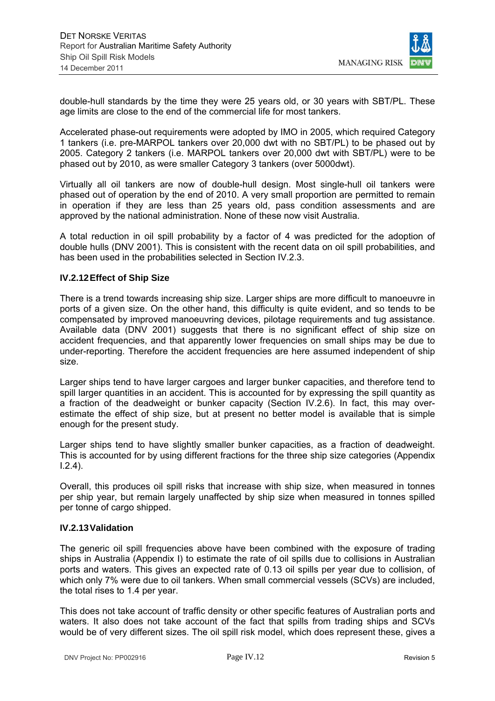

double-hull standards by the time they were 25 years old, or 30 years with SBT/PL. These age limits are close to the end of the commercial life for most tankers.

Accelerated phase-out requirements were adopted by IMO in 2005, which required Category 1 tankers (i.e. pre-MARPOL tankers over 20,000 dwt with no SBT/PL) to be phased out by 2005. Category 2 tankers (i.e. MARPOL tankers over 20,000 dwt with SBT/PL) were to be phased out by 2010, as were smaller Category 3 tankers (over 5000dwt).

Virtually all oil tankers are now of double-hull design. Most single-hull oil tankers were phased out of operation by the end of 2010. A very small proportion are permitted to remain in operation if they are less than 25 years old, pass condition assessments and are approved by the national administration. None of these now visit Australia.

A total reduction in oil spill probability by a factor of 4 was predicted for the adoption of double hulls (DNV 2001). This is consistent with the recent data on oil spill probabilities, and has been used in the probabilities selected in Section IV.2.3.

#### **IV.2.12 Effect of Ship Size**

There is a trend towards increasing ship size. Larger ships are more difficult to manoeuvre in ports of a given size. On the other hand, this difficulty is quite evident, and so tends to be compensated by improved manoeuvring devices, pilotage requirements and tug assistance. Available data (DNV 2001) suggests that there is no significant effect of ship size on accident frequencies, and that apparently lower frequencies on small ships may be due to under-reporting. Therefore the accident frequencies are here assumed independent of ship size.

Larger ships tend to have larger cargoes and larger bunker capacities, and therefore tend to spill larger quantities in an accident. This is accounted for by expressing the spill quantity as a fraction of the deadweight or bunker capacity (Section IV.2.6). In fact, this may overestimate the effect of ship size, but at present no better model is available that is simple enough for the present study.

Larger ships tend to have slightly smaller bunker capacities, as a fraction of deadweight. This is accounted for by using different fractions for the three ship size categories (Appendix I.2.4).

Overall, this produces oil spill risks that increase with ship size, when measured in tonnes per ship year, but remain largely unaffected by ship size when measured in tonnes spilled per tonne of cargo shipped.

#### **IV.2.13 Validation**

The generic oil spill frequencies above have been combined with the exposure of trading ships in Australia (Appendix I) to estimate the rate of oil spills due to collisions in Australian ports and waters. This gives an expected rate of 0.13 oil spills per year due to collision, of which only 7% were due to oil tankers. When small commercial vessels (SCVs) are included, the total rises to 1.4 per year.

This does not take account of traffic density or other specific features of Australian ports and waters. It also does not take account of the fact that spills from trading ships and SCVs would be of very different sizes. The oil spill risk model, which does represent these, gives a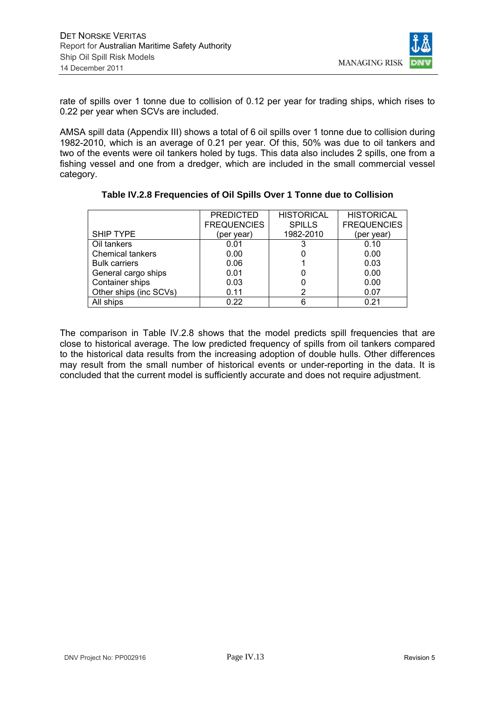

rate of spills over 1 tonne due to collision of 0.12 per year for trading ships, which rises to 0.22 per year when SCVs are included.

AMSA spill data (Appendix III) shows a total of 6 oil spills over 1 tonne due to collision during 1982-2010, which is an average of 0.21 per year. Of this, 50% was due to oil tankers and two of the events were oil tankers holed by tugs. This data also includes 2 spills, one from a fishing vessel and one from a dredger, which are included in the small commercial vessel category.

|                         | <b>PREDICTED</b><br><b>FREQUENCIES</b> | <b>HISTORICAL</b><br><b>SPILLS</b> | <b>HISTORICAL</b><br><b>FREQUENCIES</b> |
|-------------------------|----------------------------------------|------------------------------------|-----------------------------------------|
| <b>SHIP TYPE</b>        | (per year)                             | 1982-2010                          | (per year)                              |
| Oil tankers             | 0.01                                   |                                    | 0.10                                    |
| <b>Chemical tankers</b> | 0.00                                   |                                    | 0.00                                    |
| <b>Bulk carriers</b>    | 0.06                                   |                                    | 0.03                                    |
| General cargo ships     | 0.01                                   |                                    | 0.00                                    |
| Container ships         | 0.03                                   |                                    | 0.00                                    |
| Other ships (inc SCVs)  | 0.11                                   | 2                                  | 0.07                                    |
| All ships               | 0.22                                   | 6                                  | 0.21                                    |

## **Table IV.2.8 Frequencies of Oil Spills Over 1 Tonne due to Collision**

The comparison in Table IV.2.8 shows that the model predicts spill frequencies that are close to historical average. The low predicted frequency of spills from oil tankers compared to the historical data results from the increasing adoption of double hulls. Other differences may result from the small number of historical events or under-reporting in the data. It is concluded that the current model is sufficiently accurate and does not require adjustment.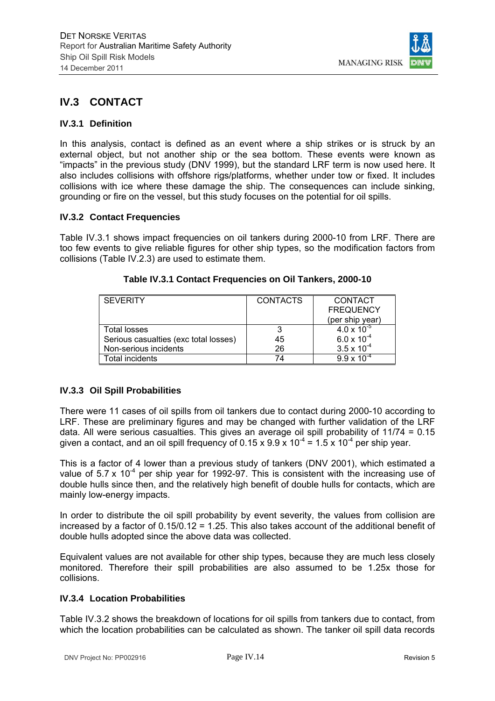

# **IV.3 CONTACT**

#### **IV.3.1 Definition**

In this analysis, contact is defined as an event where a ship strikes or is struck by an external object, but not another ship or the sea bottom. These events were known as "impacts" in the previous study (DNV 1999), but the standard LRF term is now used here. It also includes collisions with offshore rigs/platforms, whether under tow or fixed. It includes collisions with ice where these damage the ship. The consequences can include sinking, grounding or fire on the vessel, but this study focuses on the potential for oil spills.

#### **IV.3.2 Contact Frequencies**

Table IV.3.1 shows impact frequencies on oil tankers during 2000-10 from LRF. There are too few events to give reliable figures for other ship types, so the modification factors from collisions (Table IV.2.3) are used to estimate them.

| <b>SEVERITY</b>                       | <b>CONTACTS</b> | CONTACT              |
|---------------------------------------|-----------------|----------------------|
|                                       |                 | <b>FREQUENCY</b>     |
|                                       |                 | (per ship year)      |
| <b>Total losses</b>                   |                 | $4.0 \times 10^{-5}$ |
| Serious casualties (exc total losses) | 45              | $6.0 \times 10^{-4}$ |
| Non-serious incidents                 | 26              | $3.5 \times 10^{-4}$ |
| Total incidents                       | 74              | $9.9 \times 10^{-4}$ |

#### **Table IV.3.1 Contact Frequencies on Oil Tankers, 2000-10**

## **IV.3.3 Oil Spill Probabilities**

There were 11 cases of oil spills from oil tankers due to contact during 2000-10 according to LRF. These are preliminary figures and may be changed with further validation of the LRF data. All were serious casualties. This gives an average oil spill probability of 11/74 = 0.15 given a contact, and an oil spill frequency of 0.15 x 9.9 x 10<sup>-4</sup> = 1.5 x 10<sup>-4</sup> per ship year.

This is a factor of 4 lower than a previous study of tankers (DNV 2001), which estimated a value of  $5.7 \times 10^{-4}$  per ship year for 1992-97. This is consistent with the increasing use of double hulls since then, and the relatively high benefit of double hulls for contacts, which are mainly low-energy impacts.

In order to distribute the oil spill probability by event severity, the values from collision are increased by a factor of 0.15/0.12 = 1.25. This also takes account of the additional benefit of double hulls adopted since the above data was collected.

Equivalent values are not available for other ship types, because they are much less closely monitored. Therefore their spill probabilities are also assumed to be 1.25x those for collisions.

#### **IV.3.4 Location Probabilities**

Table IV.3.2 shows the breakdown of locations for oil spills from tankers due to contact, from which the location probabilities can be calculated as shown. The tanker oil spill data records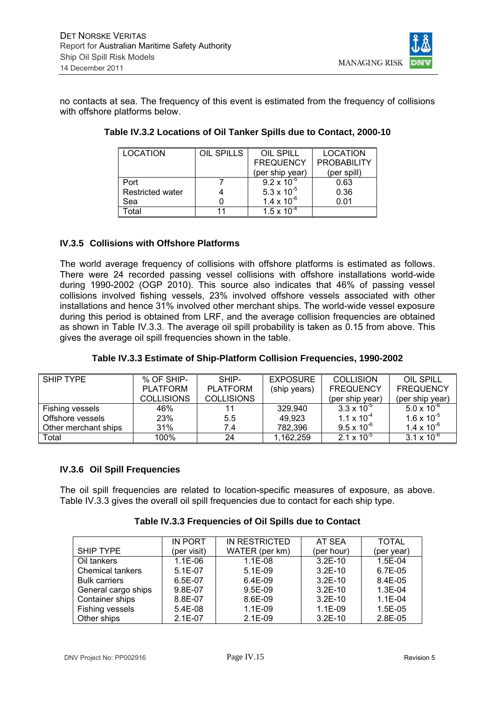

no contacts at sea. The frequency of this event is estimated from the frequency of collisions with offshore platforms below.

| <b>LOCATION</b>         | OIL SPILLS | OIL SPILL            | <b>LOCATION</b>    |
|-------------------------|------------|----------------------|--------------------|
|                         |            | <b>FREQUENCY</b>     | <b>PROBABILITY</b> |
|                         |            | (per ship year)      | (per spill)        |
| Port                    |            | $9.2 \times 10^{-5}$ | 0.63               |
| <b>Restricted water</b> |            | 5.3 x $10^{-5}$      | 0.36               |
| Sea                     |            | $1.4 \times 10^{-6}$ | 0.01               |
| otal <sup>-</sup>       | 11         | $1.5 \times 10^{-4}$ |                    |

| Table IV.3.2 Locations of Oil Tanker Spills due to Contact, 2000-10 |  |  |  |
|---------------------------------------------------------------------|--|--|--|
|---------------------------------------------------------------------|--|--|--|

#### **IV.3.5 Collisions with Offshore Platforms**

The world average frequency of collisions with offshore platforms is estimated as follows. There were 24 recorded passing vessel collisions with offshore installations world-wide during 1990-2002 (OGP 2010). This source also indicates that 46% of passing vessel collisions involved fishing vessels, 23% involved offshore vessels associated with other installations and hence 31% involved other merchant ships. The world-wide vessel exposure during this period is obtained from LRF, and the average collision frequencies are obtained as shown in Table IV.3.3. The average oil spill probability is taken as 0.15 from above. This gives the average oil spill frequencies shown in the table.

| SHIP TYPE            | % OF SHIP-        | SHIP-             | <b>EXPOSURE</b> | <b>COLLISION</b>     | OIL SPILL            |
|----------------------|-------------------|-------------------|-----------------|----------------------|----------------------|
|                      | <b>PLATFORM</b>   | <b>PLATFORM</b>   | (ship years)    | <b>FREQUENCY</b>     | <b>FREQUENCY</b>     |
|                      | <b>COLLISIONS</b> | <b>COLLISIONS</b> |                 | (per ship year)      | (per ship year)      |
| Fishing vessels      | 46%               | 11                | 329,940         | $3.3 \times 10^{-5}$ | $5.0 \times 10^{-6}$ |
| Offshore vessels     | 23%               | 5.5               | 49,923          | $1.1 \times 10^{-4}$ | $1.6 \times 10^{-5}$ |
| Other merchant ships | 31%               | 7.4               | 782,396         | $9.5 \times 10^{-6}$ | $1.4 \times 10^{-6}$ |
| Total                | 100%              | 24                | 1,162,259       | $2.1 \times 10^{-5}$ | $3.1 \times 10^{-6}$ |

## **Table IV.3.3 Estimate of Ship-Platform Collision Frequencies, 1990-2002**

#### **IV.3.6 Oil Spill Frequencies**

The oil spill frequencies are related to location-specific measures of exposure, as above. Table IV.3.3 gives the overall oil spill frequencies due to contact for each ship type.

|                         | <b>IN PORT</b> | IN RESTRICTED  | AT SEA     | <b>TOTAL</b> |
|-------------------------|----------------|----------------|------------|--------------|
| <b>SHIP TYPE</b>        | (per visit)    | WATER (per km) | (per hour) | (per year)   |
| Oil tankers             | $1.1E-06$      | $1.1E-08$      | $3.2E-10$  | 1.5E-04      |
| <b>Chemical tankers</b> | $5.1E-07$      | $5.1E-09$      | $3.2E-10$  | $6.7E-0.5$   |
| <b>Bulk carriers</b>    | 6.5E-07        | $6.4E-09$      | $3.2F-10$  | 8.4E-05      |
| General cargo ships     | 9.8E-07        | $9.5E-09$      | $3.2E-10$  | $1.3E-04$    |
| Container ships         | 8.8E-07        | 8.6E-09        | $3.2E-10$  | $1.1E-04$    |
| Fishing vessels         | $5.4E-08$      | $1.1E-09$      | $1.1E-09$  | 1.5E-05      |
| Other ships             | $2.1E-07$      | $2.1E-09$      | $3.2E-10$  | $2.8E-0.5$   |

#### **Table IV.3.3 Frequencies of Oil Spills due to Contact**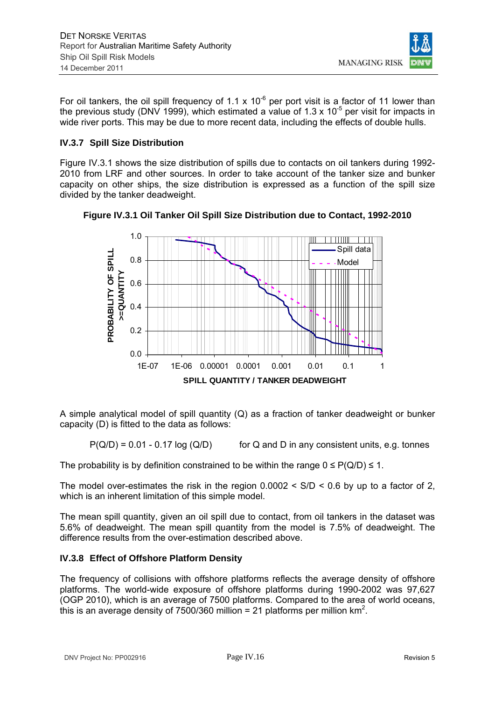**MANAGING RISK** 

For oil tankers, the oil spill frequency of 1.1 x 10<sup>-6</sup> per port visit is a factor of 11 lower than the previous study (DNV 1999), which estimated a value of 1.3 x 10<sup>-5</sup> per visit for impacts in wide river ports. This may be due to more recent data, including the effects of double hulls.

#### **IV.3.7 Spill Size Distribution**

Figure IV.3.1 shows the size distribution of spills due to contacts on oil tankers during 1992- 2010 from LRF and other sources. In order to take account of the tanker size and bunker capacity on other ships, the size distribution is expressed as a function of the spill size divided by the tanker deadweight.



**Figure IV.3.1 Oil Tanker Oil Spill Size Distribution due to Contact, 1992-2010** 

A simple analytical model of spill quantity (Q) as a fraction of tanker deadweight or bunker capacity (D) is fitted to the data as follows:

 $P(Q/D) = 0.01 - 0.17 \log (Q/D)$  for Q and D in any consistent units, e.g. tonnes

The probability is by definition constrained to be within the range  $0 \leq P(Q/D) \leq 1$ .

The model over-estimates the risk in the region  $0.0002 < S/D < 0.6$  by up to a factor of 2, which is an inherent limitation of this simple model.

The mean spill quantity, given an oil spill due to contact, from oil tankers in the dataset was 5.6% of deadweight. The mean spill quantity from the model is 7.5% of deadweight. The difference results from the over-estimation described above.

## **IV.3.8 Effect of Offshore Platform Density**

The frequency of collisions with offshore platforms reflects the average density of offshore platforms. The world-wide exposure of offshore platforms during 1990-2002 was 97,627 (OGP 2010), which is an average of 7500 platforms. Compared to the area of world oceans, this is an average density of 7500/360 million = 21 platforms per million  $km^2$ .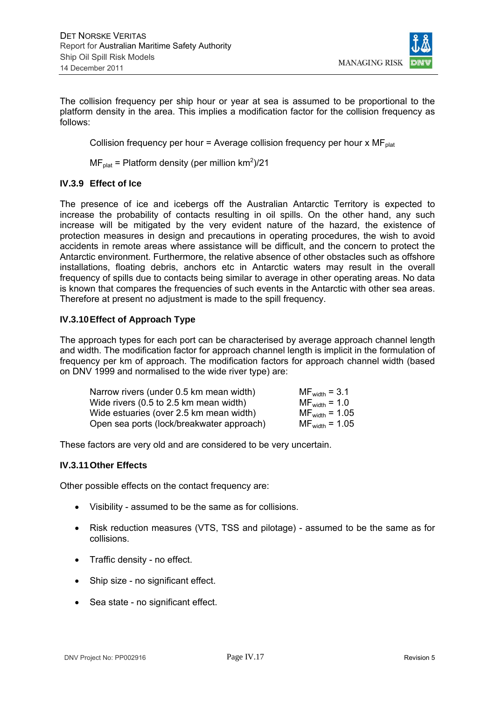

The collision frequency per ship hour or year at sea is assumed to be proportional to the platform density in the area. This implies a modification factor for the collision frequency as follows:

Collision frequency per hour = Average collision frequency per hour  $x MF_{\text{plat}}$ 

 $MF_{\text{plat}}$  = Platform density (per million km<sup>2</sup>)/21

## **IV.3.9 Effect of Ice**

The presence of ice and icebergs off the Australian Antarctic Territory is expected to increase the probability of contacts resulting in oil spills. On the other hand, any such increase will be mitigated by the very evident nature of the hazard, the existence of protection measures in design and precautions in operating procedures, the wish to avoid accidents in remote areas where assistance will be difficult, and the concern to protect the Antarctic environment. Furthermore, the relative absence of other obstacles such as offshore installations, floating debris, anchors etc in Antarctic waters may result in the overall frequency of spills due to contacts being similar to average in other operating areas. No data is known that compares the frequencies of such events in the Antarctic with other sea areas. Therefore at present no adjustment is made to the spill frequency.

## **IV.3.10 Effect of Approach Type**

The approach types for each port can be characterised by average approach channel length and width. The modification factor for approach channel length is implicit in the formulation of frequency per km of approach. The modification factors for approach channel width (based on DNV 1999 and normalised to the wide river type) are:

| Narrow rivers (under 0.5 km mean width)   | $MF_{width} = 3.1$  |
|-------------------------------------------|---------------------|
| Wide rivers (0.5 to 2.5 km mean width)    | $MF_{width} = 1.0$  |
| Wide estuaries (over 2.5 km mean width)   | $MF_{width} = 1.05$ |
| Open sea ports (lock/breakwater approach) | $MF_{width} = 1.05$ |

These factors are very old and are considered to be very uncertain.

#### **IV.3.11 Other Effects**

Other possible effects on the contact frequency are:

- Visibility assumed to be the same as for collisions.
- Risk reduction measures (VTS, TSS and pilotage) assumed to be the same as for collisions.
- Traffic density no effect.
- Ship size no significant effect.
- Sea state no significant effect.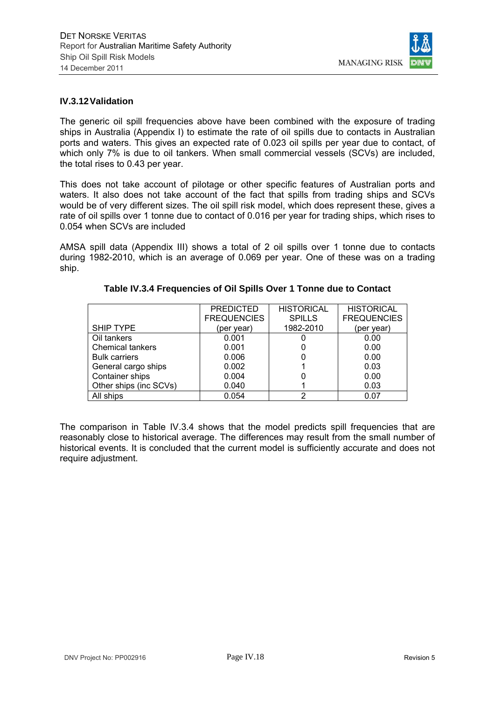

#### **IV.3.12 Validation**

The generic oil spill frequencies above have been combined with the exposure of trading ships in Australia (Appendix I) to estimate the rate of oil spills due to contacts in Australian ports and waters. This gives an expected rate of 0.023 oil spills per year due to contact, of which only 7% is due to oil tankers. When small commercial vessels (SCVs) are included, the total rises to 0.43 per year.

This does not take account of pilotage or other specific features of Australian ports and waters. It also does not take account of the fact that spills from trading ships and SCVs would be of very different sizes. The oil spill risk model, which does represent these, gives a rate of oil spills over 1 tonne due to contact of 0.016 per year for trading ships, which rises to 0.054 when SCVs are included

AMSA spill data (Appendix III) shows a total of 2 oil spills over 1 tonne due to contacts during 1982-2010, which is an average of 0.069 per year. One of these was on a trading ship.

|                         | <b>PREDICTED</b>   | <b>HISTORICAL</b> | <b>HISTORICAL</b>  |
|-------------------------|--------------------|-------------------|--------------------|
|                         | <b>FREQUENCIES</b> | <b>SPILLS</b>     | <b>FREQUENCIES</b> |
| <b>SHIP TYPE</b>        | (per year)         | 1982-2010         | (per year)         |
| Oil tankers             | 0.001              |                   | 0.00               |
| <b>Chemical tankers</b> | 0.001              |                   | 0.00               |
| <b>Bulk carriers</b>    | 0.006              |                   | 0.00               |
| General cargo ships     | 0.002              |                   | 0.03               |
| Container ships         | 0.004              |                   | 0.00               |
| Other ships (inc SCVs)  | 0.040              |                   | 0.03               |
| All ships               | 0.054              | っ                 | 0.07               |

#### **Table IV.3.4 Frequencies of Oil Spills Over 1 Tonne due to Contact**

The comparison in Table IV.3.4 shows that the model predicts spill frequencies that are reasonably close to historical average. The differences may result from the small number of historical events. It is concluded that the current model is sufficiently accurate and does not require adjustment.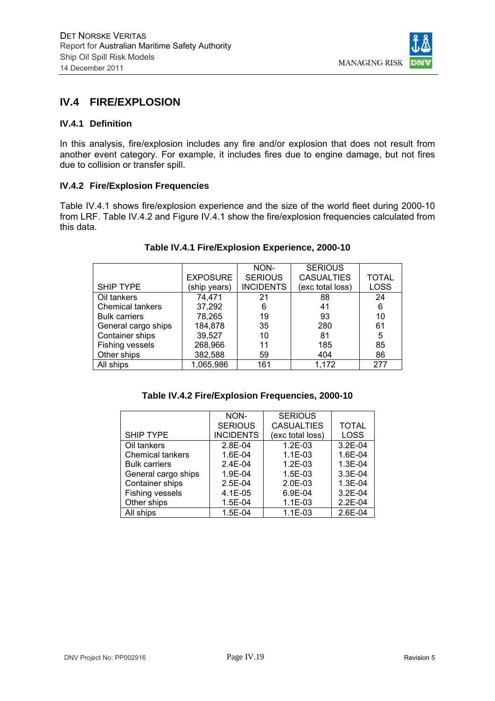

# **IV.4 FIRE/EXPLOSION**

## **IV.4.1 Definition**

In this analysis, fire/explosion includes any fire and/or explosion that does not result from another event category. For example, it includes fires due to engine damage, but not fires due to collision or transfer spill.

#### **IV.4.2 Fire/Explosion Frequencies**

Table IV.4.1 shows fire/explosion experience and the size of the world fleet during 2000-10 from LRF. Table IV.4.2 and Figure IV.4.1 show the fire/explosion frequencies calculated from this data.

|                         |                 | NON-             | <b>SERIOUS</b>    |              |
|-------------------------|-----------------|------------------|-------------------|--------------|
|                         | <b>EXPOSURE</b> | <b>SERIOUS</b>   | <b>CASUALTIES</b> | <b>TOTAL</b> |
| <b>SHIP TYPE</b>        | (ship years)    | <b>INCIDENTS</b> | (exc total loss)  | <b>LOSS</b>  |
| Oil tankers             | 74,471          | 21               | 88                | 24           |
| <b>Chemical tankers</b> | 37,292          | 6                | 41                | 6            |
| <b>Bulk carriers</b>    | 78,265          | 19               | 93                | 10           |
| General cargo ships     | 184,878         | 35               | 280               | 61           |
| Container ships         | 39,527          | 10               | 81                | 5            |
| Fishing vessels         | 268,966         | 11               | 185               | 85           |
| Other ships             | 382,588         | 59               | 404               | 86           |
| All ships               | 1,065,986       | 161              | 1,172             | 277          |

#### **Table IV.4.1 Fire/Explosion Experience, 2000-10**

| Table IV.4.2 Fire/Explosion Frequencies, 2000-10 |  |  |  |  |  |  |  |
|--------------------------------------------------|--|--|--|--|--|--|--|
|--------------------------------------------------|--|--|--|--|--|--|--|

|                         | NON-             | <b>SERIOUS</b>    |              |
|-------------------------|------------------|-------------------|--------------|
|                         | <b>SERIOUS</b>   | <b>CASUALTIES</b> | <b>TOTAL</b> |
| <b>SHIP TYPE</b>        | <b>INCIDENTS</b> | (exc total loss)  | <b>LOSS</b>  |
| Oil tankers             | $2.8E - 04$      | $1.2E-03$         | $3.2E-04$    |
| <b>Chemical tankers</b> | 1.6E-04          | $1.1E-03$         | 1.6E-04      |
| <b>Bulk carriers</b>    | $2.4E - 04$      | $1.2E-03$         | 1.3E-04      |
| General cargo ships     | 1.9E-04          | $1.5E-03$         | 3.3E-04      |
| Container ships         | $2.5E-04$        | $2.0E-03$         | 1.3E-04      |
| Fishing vessels         | 4.1E-05          | 6.9E-04           | $3.2E-04$    |
| Other ships             | $1.5E-04$        | $1.1E - 03$       | $2.2E-04$    |
| All ships               | $1.5E-04$        | $1.1E-03$         | 2.6E-04      |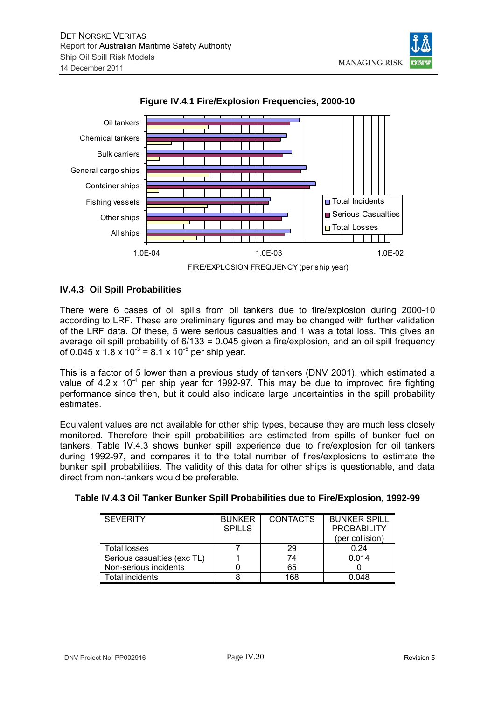





#### **IV.4.3 Oil Spill Probabilities**

There were 6 cases of oil spills from oil tankers due to fire/explosion during 2000-10 according to LRF. These are preliminary figures and may be changed with further validation of the LRF data. Of these, 5 were serious casualties and 1 was a total loss. This gives an average oil spill probability of 6/133 = 0.045 given a fire/explosion, and an oil spill frequency of 0.045 x 1.8 x 10<sup>-3</sup> = 8.1 x 10<sup>-5</sup> per ship year.

This is a factor of 5 lower than a previous study of tankers (DNV 2001), which estimated a value of  $4.2 \times 10^{-4}$  per ship year for 1992-97. This may be due to improved fire fighting performance since then, but it could also indicate large uncertainties in the spill probability estimates.

Equivalent values are not available for other ship types, because they are much less closely monitored. Therefore their spill probabilities are estimated from spills of bunker fuel on tankers. Table IV.4.3 shows bunker spill experience due to fire/explosion for oil tankers during 1992-97, and compares it to the total number of fires/explosions to estimate the bunker spill probabilities. The validity of this data for other ships is questionable, and data direct from non-tankers would be preferable.

| Table IV.4.3 Oil Tanker Bunker Spill Probabilities due to Fire/Explosion, 1992-99 |  |
|-----------------------------------------------------------------------------------|--|
|                                                                                   |  |

| <b>SEVERITY</b>             | <b>BUNKER</b> | <b>CONTACTS</b> | <b>BUNKER SPILL</b> |
|-----------------------------|---------------|-----------------|---------------------|
|                             | <b>SPILLS</b> |                 | <b>PROBABILITY</b>  |
|                             |               |                 | (per collision)     |
| Total losses                |               | 29              | 0.24                |
| Serious casualties (exc TL) |               | 74              | 0.014               |
| Non-serious incidents       |               | 65              |                     |
| Total incidents             |               | 168             | 0.048               |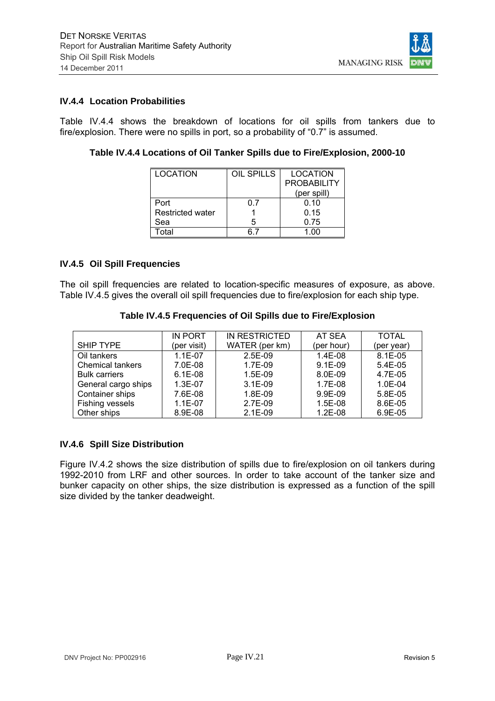

#### **IV.4.4 Location Probabilities**

Table IV.4.4 shows the breakdown of locations for oil spills from tankers due to fire/explosion. There were no spills in port, so a probability of "0.7" is assumed.

| Table IV.4.4 Locations of Oil Tanker Spills due to Fire/Explosion, 2000-10 |  |  |  |
|----------------------------------------------------------------------------|--|--|--|
|----------------------------------------------------------------------------|--|--|--|

| LOCATION                | <b>OIL SPILLS</b> | <b>LOCATION</b>    |
|-------------------------|-------------------|--------------------|
|                         |                   | <b>PROBABILITY</b> |
|                         |                   | (per spill)        |
| Port                    | ი 7               | 0.10               |
| <b>Restricted water</b> |                   | 0.15               |
| Sea                     | 5                 | 0.75               |
| ⊺otal                   |                   | 1 በበ               |

#### **IV.4.5 Oil Spill Frequencies**

The oil spill frequencies are related to location-specific measures of exposure, as above. Table IV.4.5 gives the overall oil spill frequencies due to fire/explosion for each ship type.

|                         | IN PORT     | IN RESTRICTED  | AT SEA     | <b>TOTAL</b> |
|-------------------------|-------------|----------------|------------|--------------|
| <b>SHIP TYPE</b>        | (per visit) | WATER (per km) | (per hour) | (per year)   |
| Oil tankers             | $1.1E-07$   | 2.5E-09        | 1.4E-08    | $8.1E - 05$  |
| <b>Chemical tankers</b> | 7.0E-08     | 1.7E-09        | $9.1E-09$  | $5.4E-0.5$   |
| <b>Bulk carriers</b>    | $6.1E-08$   | $1.5E-09$      | 8.0E-09    | 4.7E-05      |
| General cargo ships     | 1.3E-07     | $3.1E-09$      | 1.7E-08    | $1.0E - 04$  |
| Container ships         | 7.6E-08     | 1.8E-09        | 9.9E-09    | 5.8E-05      |
| Fishing vessels         | $1.1E-07$   | 2.7E-09        | $1.5E-08$  | 8.6E-05      |
| Other ships             | 8.9E-08     | $2.1E-09$      | $1.2E-08$  | 6.9E-05      |

**Table IV.4.5 Frequencies of Oil Spills due to Fire/Explosion** 

## **IV.4.6 Spill Size Distribution**

Figure IV.4.2 shows the size distribution of spills due to fire/explosion on oil tankers during 1992-2010 from LRF and other sources. In order to take account of the tanker size and bunker capacity on other ships, the size distribution is expressed as a function of the spill size divided by the tanker deadweight.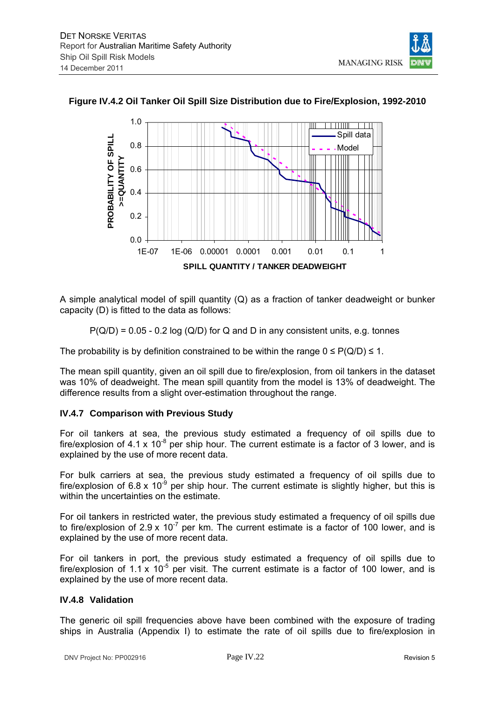



## **Figure IV.4.2 Oil Tanker Oil Spill Size Distribution due to Fire/Explosion, 1992-2010**

A simple analytical model of spill quantity (Q) as a fraction of tanker deadweight or bunker capacity (D) is fitted to the data as follows:

 $P(Q/D) = 0.05 - 0.2 \log (Q/D)$  for Q and D in any consistent units, e.g. tonnes

The probability is by definition constrained to be within the range  $0 \leq P(Q/D) \leq 1$ .

The mean spill quantity, given an oil spill due to fire/explosion, from oil tankers in the dataset was 10% of deadweight. The mean spill quantity from the model is 13% of deadweight. The difference results from a slight over-estimation throughout the range.

#### **IV.4.7 Comparison with Previous Study**

For oil tankers at sea, the previous study estimated a frequency of oil spills due to fire/explosion of  $4.1 \times 10^{-8}$  per ship hour. The current estimate is a factor of 3 lower, and is explained by the use of more recent data.

For bulk carriers at sea, the previous study estimated a frequency of oil spills due to fire/explosion of 6.8 x 10<sup>-9</sup> per ship hour. The current estimate is slightly higher, but this is within the uncertainties on the estimate.

For oil tankers in restricted water, the previous study estimated a frequency of oil spills due to fire/explosion of 2.9 x  $10^{-7}$  per km. The current estimate is a factor of 100 lower, and is explained by the use of more recent data.

For oil tankers in port, the previous study estimated a frequency of oil spills due to fire/explosion of 1.1 x 10<sup>-5</sup> per visit. The current estimate is a factor of 100 lower, and is explained by the use of more recent data.

## **IV.4.8 Validation**

The generic oil spill frequencies above have been combined with the exposure of trading ships in Australia (Appendix I) to estimate the rate of oil spills due to fire/explosion in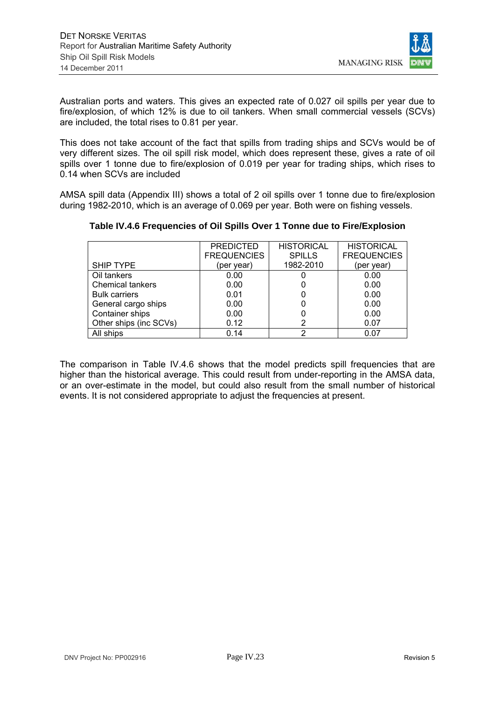

Australian ports and waters. This gives an expected rate of 0.027 oil spills per year due to fire/explosion, of which 12% is due to oil tankers. When small commercial vessels (SCVs) are included, the total rises to 0.81 per year.

This does not take account of the fact that spills from trading ships and SCVs would be of very different sizes. The oil spill risk model, which does represent these, gives a rate of oil spills over 1 tonne due to fire/explosion of 0.019 per year for trading ships, which rises to 0.14 when SCVs are included

AMSA spill data (Appendix III) shows a total of 2 oil spills over 1 tonne due to fire/explosion during 1982-2010, which is an average of 0.069 per year. Both were on fishing vessels.

|                         | <b>PREDICTED</b>   | <b>HISTORICAL</b> | <b>HISTORICAL</b>  |
|-------------------------|--------------------|-------------------|--------------------|
|                         | <b>FREQUENCIES</b> | <b>SPILLS</b>     | <b>FREQUENCIES</b> |
| <b>SHIP TYPE</b>        | (per year)         | 1982-2010         | (per year)         |
| Oil tankers             | 0.00               |                   | 0.00               |
| <b>Chemical tankers</b> | 0.00               |                   | 0.00               |
| <b>Bulk carriers</b>    | 0.01               |                   | 0.00               |
| General cargo ships     | 0.00               |                   | 0.00               |
| Container ships         | 0.00               |                   | 0.00               |
| Other ships (inc SCVs)  | 0.12               |                   | 0.07               |
| All ships               | 0.14               | າ                 | 0.07               |

## **Table IV.4.6 Frequencies of Oil Spills Over 1 Tonne due to Fire/Explosion**

The comparison in Table IV.4.6 shows that the model predicts spill frequencies that are higher than the historical average. This could result from under-reporting in the AMSA data, or an over-estimate in the model, but could also result from the small number of historical events. It is not considered appropriate to adjust the frequencies at present.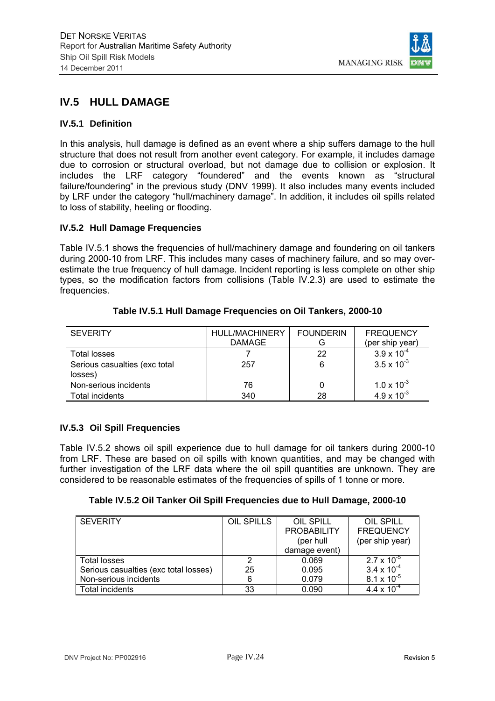

# **IV.5 HULL DAMAGE**

#### **IV.5.1 Definition**

In this analysis, hull damage is defined as an event where a ship suffers damage to the hull structure that does not result from another event category. For example, it includes damage due to corrosion or structural overload, but not damage due to collision or explosion. It includes the LRF category "foundered" and the events known as "structural failure/foundering" in the previous study (DNV 1999). It also includes many events included by LRF under the category "hull/machinery damage". In addition, it includes oil spills related to loss of stability, heeling or flooding.

#### **IV.5.2 Hull Damage Frequencies**

Table IV.5.1 shows the frequencies of hull/machinery damage and foundering on oil tankers during 2000-10 from LRF. This includes many cases of machinery failure, and so may overestimate the true frequency of hull damage. Incident reporting is less complete on other ship types, so the modification factors from collisions (Table IV.2.3) are used to estimate the frequencies.

| <b>SEVERITY</b>                          | HULL/MACHINERY<br><b>DAMAGE</b> | <b>FOUNDERIN</b><br>G | <b>FREQUENCY</b><br>(per ship year) |
|------------------------------------------|---------------------------------|-----------------------|-------------------------------------|
| Total losses                             |                                 | 22                    | $3.9 \times 10^{-4}$                |
| Serious casualties (exc total<br>losses) | 257                             | 6                     | $3.5 \times 10^{-3}$                |
| Non-serious incidents                    | 76                              |                       | $1.0 \times 10^{-3}$                |
| <b>Total incidents</b>                   | 340                             | 28                    | $4.9 \times 10^{-3}$                |

#### **Table IV.5.1 Hull Damage Frequencies on Oil Tankers, 2000-10**

## **IV.5.3 Oil Spill Frequencies**

Table IV.5.2 shows oil spill experience due to hull damage for oil tankers during 2000-10 from LRF. These are based on oil spills with known quantities, and may be changed with further investigation of the LRF data where the oil spill quantities are unknown. They are considered to be reasonable estimates of the frequencies of spills of 1 tonne or more.

## **Table IV.5.2 Oil Tanker Oil Spill Frequencies due to Hull Damage, 2000-10**

| <b>SEVERITY</b>                       | OIL SPILLS | OIL SPILL          | OIL SPILL            |
|---------------------------------------|------------|--------------------|----------------------|
|                                       |            | <b>PROBABILITY</b> | <b>FREQUENCY</b>     |
|                                       |            | (per hull          | (per ship year)      |
|                                       |            | damage event)      |                      |
| Total losses                          |            | 0.069              | $2.7 \times 10^{-5}$ |
| Serious casualties (exc total losses) | 25         | 0.095              | $3.4 \times 10^{-4}$ |
| Non-serious incidents                 | 6          | 0.079              | $8.1 \times 10^{-5}$ |
| Total incidents                       | 33         | 0.090              | 4.4 x $10^{-4}$      |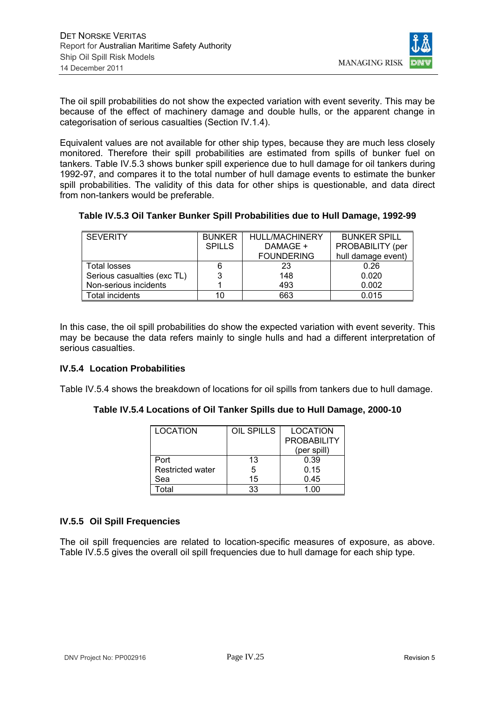

The oil spill probabilities do not show the expected variation with event severity. This may be because of the effect of machinery damage and double hulls, or the apparent change in categorisation of serious casualties (Section IV.1.4).

Equivalent values are not available for other ship types, because they are much less closely monitored. Therefore their spill probabilities are estimated from spills of bunker fuel on tankers. Table IV.5.3 shows bunker spill experience due to hull damage for oil tankers during 1992-97, and compares it to the total number of hull damage events to estimate the bunker spill probabilities. The validity of this data for other ships is questionable, and data direct from non-tankers would be preferable.

**Table IV.5.3 Oil Tanker Bunker Spill Probabilities due to Hull Damage, 1992-99** 

| <b>SEVERITY</b>             | <b>BUNKER</b> | <b>HULL/MACHINERY</b> | <b>BUNKER SPILL</b> |
|-----------------------------|---------------|-----------------------|---------------------|
|                             | <b>SPILLS</b> | DAMAGE +              | PROBABILITY (per    |
|                             |               | <b>FOUNDERING</b>     | hull damage event)  |
| Total losses                | 6             | 23                    | 0.26                |
| Serious casualties (exc TL) |               | 148                   | 0.020               |
| Non-serious incidents       |               | 493                   | 0.002               |
| Total incidents             |               | 663                   | 0.015               |

In this case, the oil spill probabilities do show the expected variation with event severity. This may be because the data refers mainly to single hulls and had a different interpretation of serious casualties.

## **IV.5.4 Location Probabilities**

Table IV.5.4 shows the breakdown of locations for oil spills from tankers due to hull damage.

## **Table IV.5.4 Locations of Oil Tanker Spills due to Hull Damage, 2000-10**

| <b>LOCATION</b>         | OIL SPILLS | <b>LOCATION</b>    |
|-------------------------|------------|--------------------|
|                         |            | <b>PROBABILITY</b> |
|                         |            | (per spill)        |
| Port                    | 13         | 0.39               |
| <b>Restricted water</b> | 5          | 0.15               |
| Sea                     | 15         | 0.45               |
| ⊺otal                   | 33         | 1.00               |

## **IV.5.5 Oil Spill Frequencies**

The oil spill frequencies are related to location-specific measures of exposure, as above. Table IV.5.5 gives the overall oil spill frequencies due to hull damage for each ship type.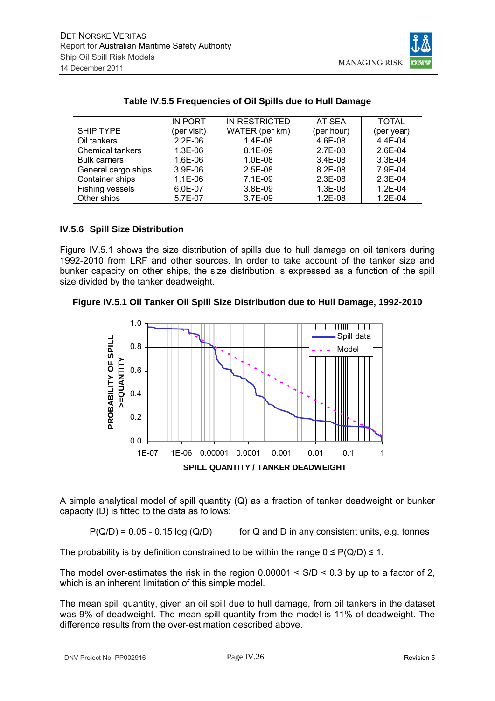

|                         | <b>IN PORT</b> | IN RESTRICTED  | AT SEA      | <b>TOTAL</b> |
|-------------------------|----------------|----------------|-------------|--------------|
| SHIP TYPE               | (per visit)    | WATER (per km) | (per hour)  | (per year)   |
| Oil tankers             | $2.2E-06$      | 1.4E-08        | 4.6E-08     | 4.4E-04      |
| <b>Chemical tankers</b> | $1.3E-06$      | $8.1E-09$      | 2.7E-08     | $2.6E-04$    |
| <b>Bulk carriers</b>    | 1.6E-06        | $1.0E-08$      | $3.4E-08$   | $3.3E-04$    |
| General cargo ships     | $3.9E-06$      | $2.5E-08$      | $8.2E - 08$ | 7.9E-04      |
| Container ships         | $1.1E-06$      | $7.1E-09$      | $2.3E-08$   | $2.3E-04$    |
| Fishing vessels         | 6.0E-07        | 3.8E-09        | 1.3E-08     | $1.2E - 04$  |
| Other ships             | 5.7E-07        | 3.7E-09        | $1.2E-08$   | $1.2E - 04$  |

#### **Table IV.5.5 Frequencies of Oil Spills due to Hull Damage**

## **IV.5.6 Spill Size Distribution**

Figure IV.5.1 shows the size distribution of spills due to hull damage on oil tankers during 1992-2010 from LRF and other sources. In order to take account of the tanker size and bunker capacity on other ships, the size distribution is expressed as a function of the spill size divided by the tanker deadweight.

#### **Figure IV.5.1 Oil Tanker Oil Spill Size Distribution due to Hull Damage, 1992-2010**



A simple analytical model of spill quantity (Q) as a fraction of tanker deadweight or bunker capacity (D) is fitted to the data as follows:

 $P(Q/D) = 0.05 - 0.15 \log (Q/D)$  for Q and D in any consistent units, e.g. tonnes

The probability is by definition constrained to be within the range  $0 \leq P(Q/D) \leq 1$ .

The model over-estimates the risk in the region  $0.00001 < S/D < 0.3$  by up to a factor of 2, which is an inherent limitation of this simple model.

The mean spill quantity, given an oil spill due to hull damage, from oil tankers in the dataset was 9% of deadweight. The mean spill quantity from the model is 11% of deadweight. The difference results from the over-estimation described above.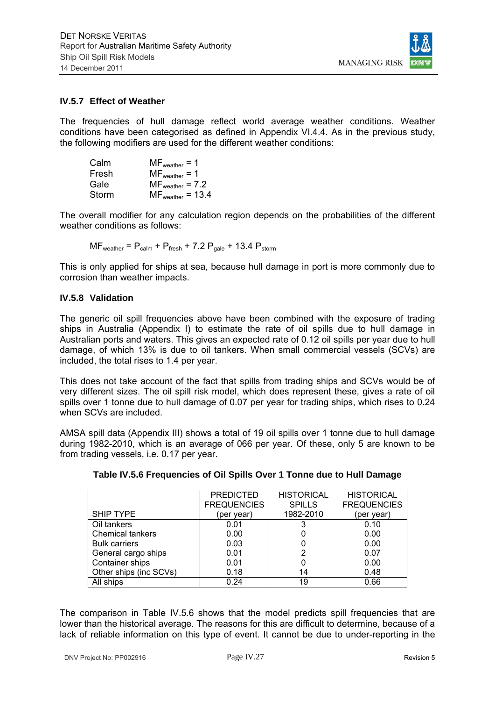

#### **IV.5.7 Effect of Weather**

The frequencies of hull damage reflect world average weather conditions. Weather conditions have been categorised as defined in Appendix VI.4.4. As in the previous study, the following modifiers are used for the different weather conditions:

| Calm  | $MF_{weather} = 1$    |
|-------|-----------------------|
| Fresh | $MF_{weather} = 1$    |
| Gale  | $MF_{weather} = 7.2$  |
| Storm | $MF_{weather} = 13.4$ |

The overall modifier for any calculation region depends on the probabilities of the different weather conditions as follows:

$$
MF_{weather} = P_{calm} + P_{fresh} + 7.2 P_{gale} + 13.4 P_{storm}
$$

This is only applied for ships at sea, because hull damage in port is more commonly due to corrosion than weather impacts.

#### **IV.5.8 Validation**

The generic oil spill frequencies above have been combined with the exposure of trading ships in Australia (Appendix I) to estimate the rate of oil spills due to hull damage in Australian ports and waters. This gives an expected rate of 0.12 oil spills per year due to hull damage, of which 13% is due to oil tankers. When small commercial vessels (SCVs) are included, the total rises to 1.4 per year.

This does not take account of the fact that spills from trading ships and SCVs would be of very different sizes. The oil spill risk model, which does represent these, gives a rate of oil spills over 1 tonne due to hull damage of 0.07 per year for trading ships, which rises to 0.24 when SCVs are included.

AMSA spill data (Appendix III) shows a total of 19 oil spills over 1 tonne due to hull damage during 1982-2010, which is an average of 066 per year. Of these, only 5 are known to be from trading vessels, i.e. 0.17 per year.

|                         | <b>PREDICTED</b>   | <b>HISTORICAL</b> | <b>HISTORICAL</b>  |
|-------------------------|--------------------|-------------------|--------------------|
|                         | <b>FREQUENCIES</b> | <b>SPILLS</b>     | <b>FREQUENCIES</b> |
| SHIP TYPE               | (per year)         | 1982-2010         | (per year)         |
| Oil tankers             | 0.01               |                   | 0.10               |
| <b>Chemical tankers</b> | 0.00               |                   | 0.00               |
| <b>Bulk carriers</b>    | 0.03               |                   | 0.00               |
| General cargo ships     | 0.01               | 2                 | 0.07               |
| Container ships         | 0.01               |                   | 0.00               |
| Other ships (inc SCVs)  | 0.18               | 14                | 0.48               |
| All ships               | 0.24               | 19                | 0.66               |

**Table IV.5.6 Frequencies of Oil Spills Over 1 Tonne due to Hull Damage** 

The comparison in Table IV.5.6 shows that the model predicts spill frequencies that are lower than the historical average. The reasons for this are difficult to determine, because of a lack of reliable information on this type of event. It cannot be due to under-reporting in the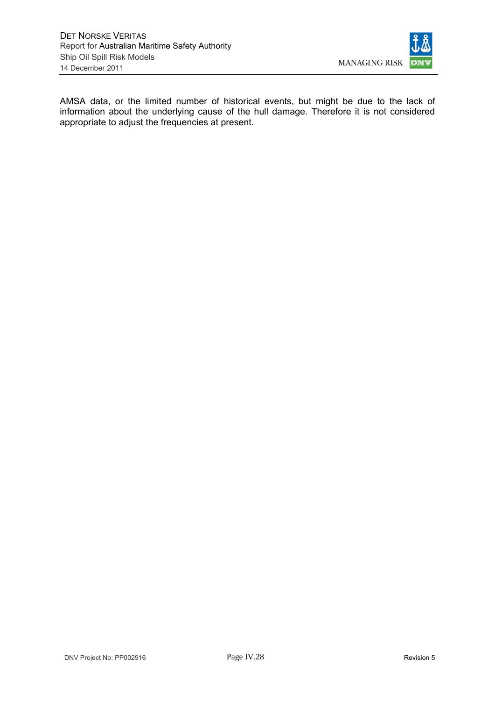

AMSA data, or the limited number of historical events, but might be due to the lack of information about the underlying cause of the hull damage. Therefore it is not considered appropriate to adjust the frequencies at present.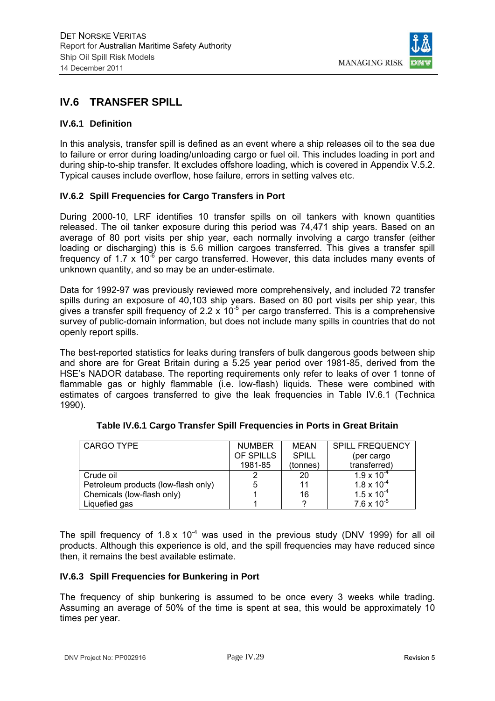

# **IV.6 TRANSFER SPILL**

#### **IV.6.1 Definition**

In this analysis, transfer spill is defined as an event where a ship releases oil to the sea due to failure or error during loading/unloading cargo or fuel oil. This includes loading in port and during ship-to-ship transfer. It excludes offshore loading, which is covered in Appendix V.5.2. Typical causes include overflow, hose failure, errors in setting valves etc.

#### **IV.6.2 Spill Frequencies for Cargo Transfers in Port**

During 2000-10, LRF identifies 10 transfer spills on oil tankers with known quantities released. The oil tanker exposure during this period was 74,471 ship years. Based on an average of 80 port visits per ship year, each normally involving a cargo transfer (either loading or discharging) this is 5.6 million cargoes transferred. This gives a transfer spill frequency of 1.7 x 10<sup>-6</sup> per cargo transferred. However, this data includes many events of unknown quantity, and so may be an under-estimate.

Data for 1992-97 was previously reviewed more comprehensively, and included 72 transfer spills during an exposure of 40,103 ship years. Based on 80 port visits per ship year, this gives a transfer spill frequency of 2.2 x  $10^{-5}$  per cargo transferred. This is a comprehensive survey of public-domain information, but does not include many spills in countries that do not openly report spills.

The best-reported statistics for leaks during transfers of bulk dangerous goods between ship and shore are for Great Britain during a 5.25 year period over 1981-85, derived from the HSE's NADOR database. The reporting requirements only refer to leaks of over 1 tonne of flammable gas or highly flammable (i.e. low-flash) liquids. These were combined with estimates of cargoes transferred to give the leak frequencies in Table IV.6.1 (Technica 1990).

| CARGO TYPE                          | <b>NUMBER</b> | MEAN         | <b>SPILL FREQUENCY</b> |
|-------------------------------------|---------------|--------------|------------------------|
|                                     | OF SPILLS     | <b>SPILL</b> | (per cargo             |
|                                     | 1981-85       | (tonnes)     | transferred)           |
| Crude oil                           |               | 20           | $1.9 \times 10^{-4}$   |
| Petroleum products (low-flash only) | 5             | 11           | $1.8 \times 10^{-4}$   |
| Chemicals (low-flash only)          |               | 16           | $1.5 \times 10^{-4}$   |
| Liquefied gas                       |               |              | $7.6 \times 10^{-5}$   |

The spill frequency of  $1.8 \times 10^{-4}$  was used in the previous study (DNV 1999) for all oil products. Although this experience is old, and the spill frequencies may have reduced since then, it remains the best available estimate.

#### **IV.6.3 Spill Frequencies for Bunkering in Port**

The frequency of ship bunkering is assumed to be once every 3 weeks while trading. Assuming an average of 50% of the time is spent at sea, this would be approximately 10 times per year.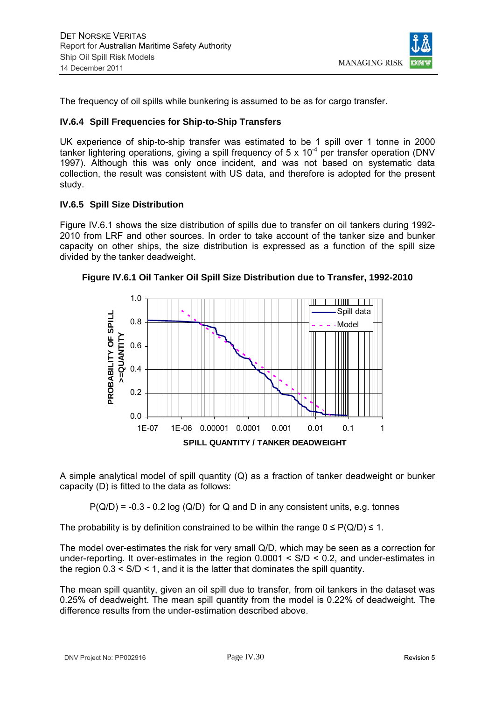

The frequency of oil spills while bunkering is assumed to be as for cargo transfer.

#### **IV.6.4 Spill Frequencies for Ship-to-Ship Transfers**

UK experience of ship-to-ship transfer was estimated to be 1 spill over 1 tonne in 2000 tanker lightering operations, giving a spill frequency of 5 x  $10^{-4}$  per transfer operation (DNV 1997). Although this was only once incident, and was not based on systematic data collection, the result was consistent with US data, and therefore is adopted for the present study.

#### **IV.6.5 Spill Size Distribution**

Figure IV.6.1 shows the size distribution of spills due to transfer on oil tankers during 1992- 2010 from LRF and other sources. In order to take account of the tanker size and bunker capacity on other ships, the size distribution is expressed as a function of the spill size divided by the tanker deadweight.



**Figure IV.6.1 Oil Tanker Oil Spill Size Distribution due to Transfer, 1992-2010** 

A simple analytical model of spill quantity (Q) as a fraction of tanker deadweight or bunker capacity (D) is fitted to the data as follows:

 $P(Q/D) = -0.3 - 0.2 \log (Q/D)$  for Q and D in any consistent units, e.g. tonnes

The probability is by definition constrained to be within the range  $0 \leq P(Q/D) \leq 1$ .

The model over-estimates the risk for very small Q/D, which may be seen as a correction for under-reporting. It over-estimates in the region 0.0001 < S/D < 0.2, and under-estimates in the region  $0.3 < S/D < 1$ , and it is the latter that dominates the spill quantity.

The mean spill quantity, given an oil spill due to transfer, from oil tankers in the dataset was 0.25% of deadweight. The mean spill quantity from the model is 0.22% of deadweight. The difference results from the under-estimation described above.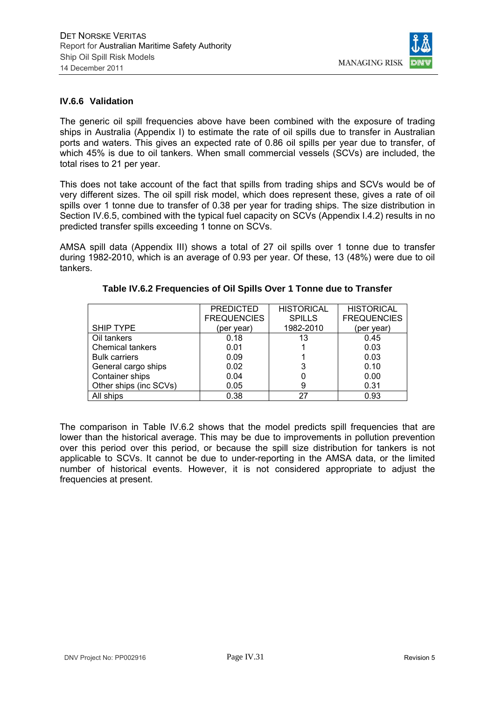

#### **IV.6.6 Validation**

The generic oil spill frequencies above have been combined with the exposure of trading ships in Australia (Appendix I) to estimate the rate of oil spills due to transfer in Australian ports and waters. This gives an expected rate of 0.86 oil spills per year due to transfer, of which 45% is due to oil tankers. When small commercial vessels (SCVs) are included, the total rises to 21 per year.

This does not take account of the fact that spills from trading ships and SCVs would be of very different sizes. The oil spill risk model, which does represent these, gives a rate of oil spills over 1 tonne due to transfer of 0.38 per year for trading ships. The size distribution in Section IV.6.5, combined with the typical fuel capacity on SCVs (Appendix I.4.2) results in no predicted transfer spills exceeding 1 tonne on SCVs.

AMSA spill data (Appendix III) shows a total of 27 oil spills over 1 tonne due to transfer during 1982-2010, which is an average of 0.93 per year. Of these, 13 (48%) were due to oil tankers.

|                         | <b>PREDICTED</b>   | <b>HISTORICAL</b> | <b>HISTORICAL</b>  |
|-------------------------|--------------------|-------------------|--------------------|
|                         | <b>FREQUENCIES</b> | <b>SPILLS</b>     | <b>FREQUENCIES</b> |
| <b>SHIP TYPE</b>        | (per year)         | 1982-2010         | (per year)         |
| Oil tankers             | 0.18               | 13                | 0.45               |
| <b>Chemical tankers</b> | 0.01               |                   | 0.03               |
| <b>Bulk carriers</b>    | 0.09               |                   | 0.03               |
| General cargo ships     | 0.02               | 3                 | 0.10               |
| Container ships         | 0.04               |                   | 0.00               |
| Other ships (inc SCVs)  | 0.05               | 9                 | 0.31               |
| All ships               | 0.38               | 27                | 0.93               |

#### **Table IV.6.2 Frequencies of Oil Spills Over 1 Tonne due to Transfer**

The comparison in Table IV.6.2 shows that the model predicts spill frequencies that are lower than the historical average. This may be due to improvements in pollution prevention over this period over this period, or because the spill size distribution for tankers is not applicable to SCVs. It cannot be due to under-reporting in the AMSA data, or the limited number of historical events. However, it is not considered appropriate to adjust the frequencies at present.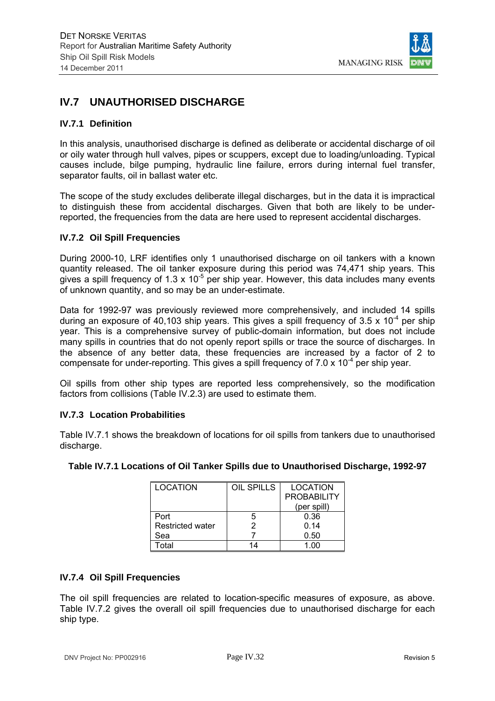

# **IV.7 UNAUTHORISED DISCHARGE**

#### **IV.7.1 Definition**

In this analysis, unauthorised discharge is defined as deliberate or accidental discharge of oil or oily water through hull valves, pipes or scuppers, except due to loading/unloading. Typical causes include, bilge pumping, hydraulic line failure, errors during internal fuel transfer, separator faults, oil in ballast water etc.

The scope of the study excludes deliberate illegal discharges, but in the data it is impractical to distinguish these from accidental discharges. Given that both are likely to be underreported, the frequencies from the data are here used to represent accidental discharges.

#### **IV.7.2 Oil Spill Frequencies**

During 2000-10, LRF identifies only 1 unauthorised discharge on oil tankers with a known quantity released. The oil tanker exposure during this period was 74,471 ship years. This gives a spill frequency of 1.3 x  $10^{-5}$  per ship year. However, this data includes many events of unknown quantity, and so may be an under-estimate.

Data for 1992-97 was previously reviewed more comprehensively, and included 14 spills during an exposure of 40,103 ship years. This gives a spill frequency of 3.5 x  $10^{-4}$  per ship year. This is a comprehensive survey of public-domain information, but does not include many spills in countries that do not openly report spills or trace the source of discharges. In the absence of any better data, these frequencies are increased by a factor of 2 to compensate for under-reporting. This gives a spill frequency of  $7.0 \times 10^{-4}$  per ship year.

Oil spills from other ship types are reported less comprehensively, so the modification factors from collisions (Table IV.2.3) are used to estimate them.

#### **IV.7.3 Location Probabilities**

Table IV.7.1 shows the breakdown of locations for oil spills from tankers due to unauthorised discharge.

| <b>LOCATION</b>         | OIL SPILLS | <b>LOCATION</b>    |
|-------------------------|------------|--------------------|
|                         |            | <b>PROBABILITY</b> |
|                         |            | (per spill)        |
| Port                    | 5          | 0.36               |
| <b>Restricted water</b> | 2          | 0.14               |
| Sea                     |            | 0.50               |
| ⊺ิ∩tal                  |            | 1 በበ               |

## **Table IV.7.1 Locations of Oil Tanker Spills due to Unauthorised Discharge, 1992-97**

#### **IV.7.4 Oil Spill Frequencies**

The oil spill frequencies are related to location-specific measures of exposure, as above. Table IV.7.2 gives the overall oil spill frequencies due to unauthorised discharge for each ship type.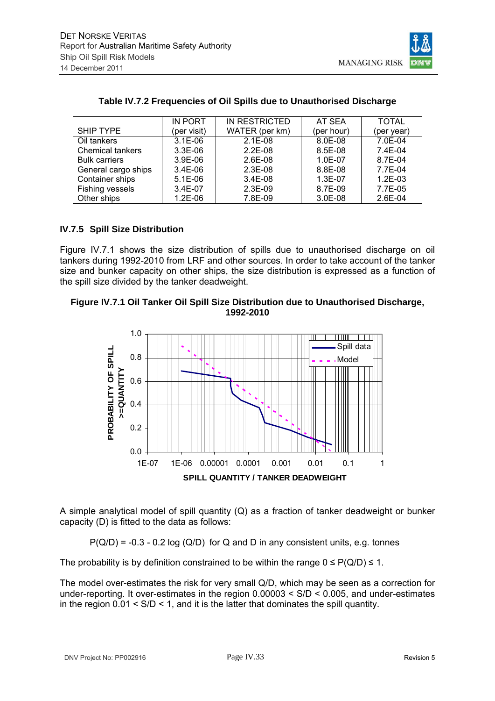

|                         | IN PORT     | IN RESTRICTED  | AT SEA      | <b>TOTAL</b> |
|-------------------------|-------------|----------------|-------------|--------------|
| <b>SHIP TYPE</b>        | (per visit) | WATER (per km) | (per hour)  | (per year)   |
| Oil tankers             | $3.1E-06$   | $2.1E-08$      | $8.0E - 08$ | 7.0E-04      |
| <b>Chemical tankers</b> | $3.3E-06$   | $2.2E-08$      | 8.5E-08     | $7.4F-04$    |
| <b>Bulk carriers</b>    | $3.9E-06$   | $2.6E-08$      | $1.0E-07$   | 8.7E-04      |
| General cargo ships     | $3.4E-06$   | $2.3E-08$      | 8.8E-08     | 7.7E-04      |
| Container ships         | $5.1E-06$   | $3.4E-08$      | $1.3E-07$   | $1.2E-03$    |
| Fishing vessels         | $3.4E-07$   | $2.3E-09$      | 8.7E-09     | 7.7E-05      |
| Other ships             | $1.2E-06$   | 7.8E-09        | 3.0E-08     | $2.6E-04$    |

## **Table IV.7.2 Frequencies of Oil Spills due to Unauthorised Discharge**

## **IV.7.5 Spill Size Distribution**

Figure IV.7.1 shows the size distribution of spills due to unauthorised discharge on oil tankers during 1992-2010 from LRF and other sources. In order to take account of the tanker size and bunker capacity on other ships, the size distribution is expressed as a function of the spill size divided by the tanker deadweight.

## **Figure IV.7.1 Oil Tanker Oil Spill Size Distribution due to Unauthorised Discharge, 1992-2010**



A simple analytical model of spill quantity (Q) as a fraction of tanker deadweight or bunker capacity (D) is fitted to the data as follows:

 $P(Q/D) = -0.3 - 0.2 \log (Q/D)$  for Q and D in any consistent units, e.g. tonnes

The probability is by definition constrained to be within the range  $0 \le P(Q/D) \le 1$ .

The model over-estimates the risk for very small Q/D, which may be seen as a correction for under-reporting. It over-estimates in the region 0.00003 < S/D < 0.005, and under-estimates in the region  $0.01 < S/D < 1$ , and it is the latter that dominates the spill quantity.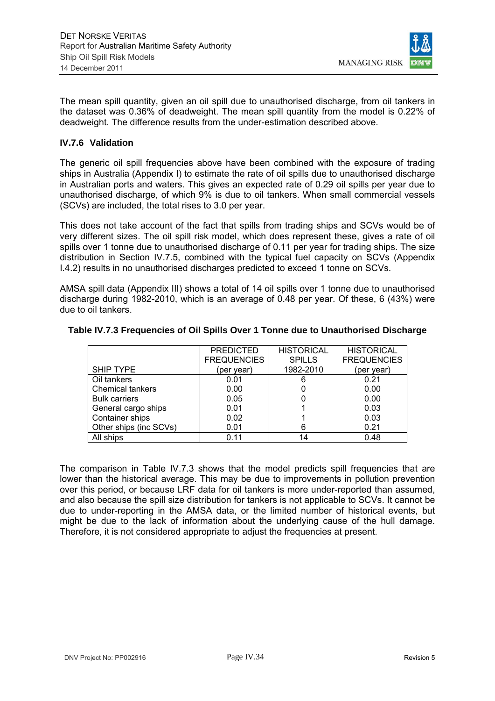

The mean spill quantity, given an oil spill due to unauthorised discharge, from oil tankers in the dataset was 0.36% of deadweight. The mean spill quantity from the model is 0.22% of deadweight. The difference results from the under-estimation described above.

#### **IV.7.6 Validation**

The generic oil spill frequencies above have been combined with the exposure of trading ships in Australia (Appendix I) to estimate the rate of oil spills due to unauthorised discharge in Australian ports and waters. This gives an expected rate of 0.29 oil spills per year due to unauthorised discharge, of which 9% is due to oil tankers. When small commercial vessels (SCVs) are included, the total rises to 3.0 per year.

This does not take account of the fact that spills from trading ships and SCVs would be of very different sizes. The oil spill risk model, which does represent these, gives a rate of oil spills over 1 tonne due to unauthorised discharge of 0.11 per year for trading ships. The size distribution in Section IV.7.5, combined with the typical fuel capacity on SCVs (Appendix I.4.2) results in no unauthorised discharges predicted to exceed 1 tonne on SCVs.

AMSA spill data (Appendix III) shows a total of 14 oil spills over 1 tonne due to unauthorised discharge during 1982-2010, which is an average of 0.48 per year. Of these, 6 (43%) were due to oil tankers.

|                         | <b>PREDICTED</b>   | <b>HISTORICAL</b> | <b>HISTORICAL</b>  |
|-------------------------|--------------------|-------------------|--------------------|
|                         | <b>FREQUENCIES</b> | <b>SPILLS</b>     | <b>FREQUENCIES</b> |
| <b>SHIP TYPE</b>        | (per year)         | 1982-2010         | (per year)         |
| Oil tankers             | 0.01               | 6                 | 0.21               |
| <b>Chemical tankers</b> | 0.00               |                   | 0.00               |
| <b>Bulk carriers</b>    | 0.05               |                   | 0.00               |
| General cargo ships     | 0.01               |                   | 0.03               |
| Container ships         | 0.02               |                   | 0.03               |
| Other ships (inc SCVs)  | 0.01               | 6                 | 0.21               |
| All ships               | 0.11               | 14                | 0.48               |

#### **Table IV.7.3 Frequencies of Oil Spills Over 1 Tonne due to Unauthorised Discharge**

The comparison in Table IV.7.3 shows that the model predicts spill frequencies that are lower than the historical average. This may be due to improvements in pollution prevention over this period, or because LRF data for oil tankers is more under-reported than assumed, and also because the spill size distribution for tankers is not applicable to SCVs. It cannot be due to under-reporting in the AMSA data, or the limited number of historical events, but might be due to the lack of information about the underlying cause of the hull damage. Therefore, it is not considered appropriate to adjust the frequencies at present.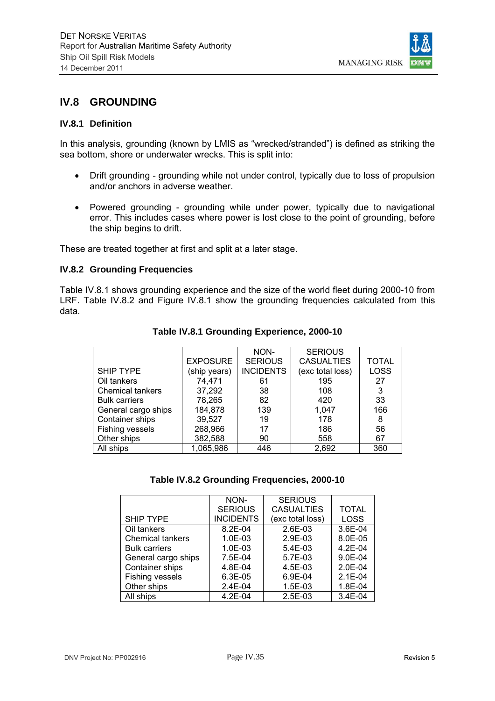

## **IV.8 GROUNDING**

#### **IV.8.1 Definition**

In this analysis, grounding (known by LMIS as "wrecked/stranded") is defined as striking the sea bottom, shore or underwater wrecks. This is split into:

- Drift grounding grounding while not under control, typically due to loss of propulsion and/or anchors in adverse weather.
- Powered grounding grounding while under power, typically due to navigational error. This includes cases where power is lost close to the point of grounding, before the ship begins to drift.

These are treated together at first and split at a later stage.

#### **IV.8.2 Grounding Frequencies**

Table IV.8.1 shows grounding experience and the size of the world fleet during 2000-10 from LRF. Table IV.8.2 and Figure IV.8.1 show the grounding frequencies calculated from this data.

|                         |                 | NON-             | <b>SERIOUS</b>    |              |
|-------------------------|-----------------|------------------|-------------------|--------------|
|                         | <b>EXPOSURE</b> | <b>SERIOUS</b>   | <b>CASUALTIES</b> | <b>TOTAL</b> |
| <b>SHIP TYPE</b>        | (ship years)    | <b>INCIDENTS</b> | (exc total loss)  | LOSS         |
| Oil tankers             | 74,471          | 61               | 195               | 27           |
| <b>Chemical tankers</b> | 37,292          | 38               | 108               | 3            |
| <b>Bulk carriers</b>    | 78,265          | 82               | 420               | 33           |
| General cargo ships     | 184,878         | 139              | 1,047             | 166          |
| Container ships         | 39,527          | 19               | 178               | 8            |
| Fishing vessels         | 268,966         | 17               | 186               | 56           |
| Other ships             | 382,588         | 90               | 558               | 67           |
| All ships               | 1,065,986       | 446              | 2,692             | 360          |
|                         |                 |                  |                   |              |

## **Table IV.8.1 Grounding Experience, 2000-10**

#### **Table IV.8.2 Grounding Frequencies, 2000-10**

|                         | NON-             | <b>SERIOUS</b>    |              |
|-------------------------|------------------|-------------------|--------------|
|                         | <b>SERIOUS</b>   | <b>CASUALTIES</b> | <b>TOTAL</b> |
| <b>SHIP TYPE</b>        | <b>INCIDENTS</b> | (exc total loss)  | <b>LOSS</b>  |
| Oil tankers             | 8.2E-04          | 2.6E-03           | 3.6E-04      |
| <b>Chemical tankers</b> | $1.0E-03$        | 2.9E-03           | 8.0E-05      |
| <b>Bulk carriers</b>    | $1.0E-03$        | $5.4E-03$         | 4.2E-04      |
| General cargo ships     | 7.5E-04          | 5.7E-03           | 9.0E-04      |
| Container ships         | 4.8E-04          | $4.5E-03$         | $2.0E - 04$  |
| Fishing vessels         | 6.3E-05          | 6.9E-04           | $2.1E-04$    |
| Other ships             | $2.4E-04$        | $1.5E-03$         | 1.8E-04      |
| All ships               | $4.2E - 04$      | $2.5E-03$         | 3.4E-04      |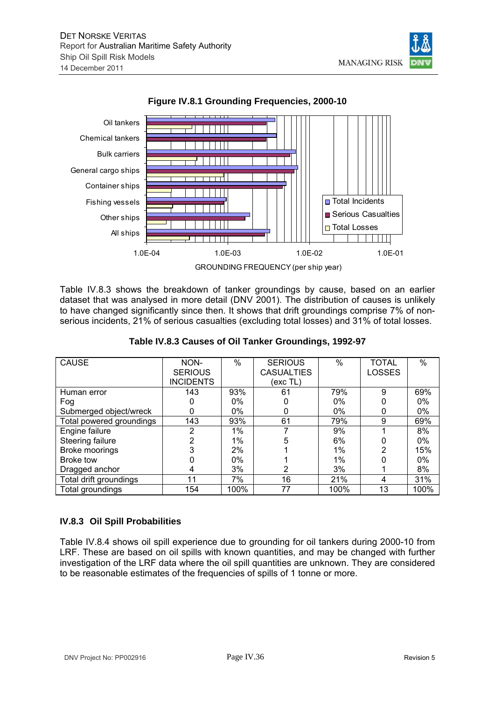Oil tankers

Bulk carriers

Chemical tankers





Table IV.8.3 shows the breakdown of tanker groundings by cause, based on an earlier dataset that was analysed in more detail (DNV 2001). The distribution of causes is unlikely to have changed significantly since then. It shows that drift groundings comprise 7% of nonserious incidents, 21% of serious casualties (excluding total losses) and 31% of total losses.

| <b>CAUSE</b>             | NON-             | $\%$  | <b>SERIOUS</b>    | $\%$  | <b>TOTAL</b>  | $\%$ |
|--------------------------|------------------|-------|-------------------|-------|---------------|------|
|                          | <b>SERIOUS</b>   |       | <b>CASUALTIES</b> |       | <b>LOSSES</b> |      |
|                          | <b>INCIDENTS</b> |       | (exc TL)          |       |               |      |
| Human error              | 143              | 93%   | 61                | 79%   | 9             | 69%  |
| Fog                      |                  | 0%    |                   | $0\%$ |               | 0%   |
| Submerged object/wreck   | 0                | 0%    |                   | $0\%$ |               | 0%   |
| Total powered groundings | 143              | 93%   | 61                | 79%   | 9             | 69%  |
| Engine failure           | 2                | 1%    |                   | 9%    |               | 8%   |
| Steering failure         | っ                | 1%    |                   | 6%    |               | 0%   |
| Broke moorings           |                  | 2%    |                   | 1%    | 2             | 15%  |
| Broke tow                |                  | $0\%$ |                   | 1%    |               | 0%   |
| Dragged anchor           | 4                | 3%    |                   | 3%    |               | 8%   |
| Total drift groundings   | 11               | 7%    | 16                | 21%   | 4             | 31%  |
| Total groundings         | 154              | 100%  | 77                | 100%  | 13            | 100% |

|  |  | Table IV.8.3 Causes of Oil Tanker Groundings, 1992-97 |
|--|--|-------------------------------------------------------|
|--|--|-------------------------------------------------------|

## **IV.8.3 Oil Spill Probabilities**

Table IV.8.4 shows oil spill experience due to grounding for oil tankers during 2000-10 from LRF. These are based on oil spills with known quantities, and may be changed with further investigation of the LRF data where the oil spill quantities are unknown. They are considered to be reasonable estimates of the frequencies of spills of 1 tonne or more.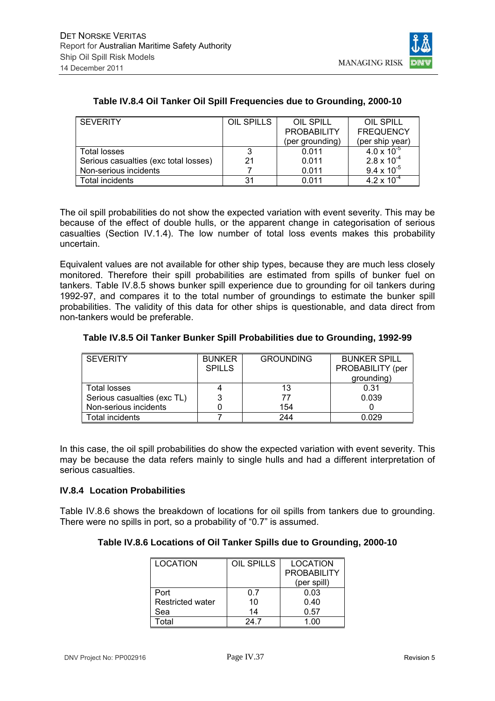

| <b>SEVERITY</b>                       | OIL SPILLS | OIL SPILL          | OIL SPILL            |
|---------------------------------------|------------|--------------------|----------------------|
|                                       |            | <b>PROBABILITY</b> | <b>FREQUENCY</b>     |
|                                       |            | (per grounding)    | (per ship year)      |
| Total losses                          | 3          | 0.011              | $4.0 \times 10^{-5}$ |
| Serious casualties (exc total losses) | 21         | 0.011              | $2.8 \times 10^{-4}$ |
| Non-serious incidents                 |            | 0.011              | $9.4 \times 10^{-5}$ |
| Total incidents                       | 31         | 0.011              | $4.2 \times 10^{-4}$ |

## **Table IV.8.4 Oil Tanker Oil Spill Frequencies due to Grounding, 2000-10**

The oil spill probabilities do not show the expected variation with event severity. This may be because of the effect of double hulls, or the apparent change in categorisation of serious casualties (Section IV.1.4). The low number of total loss events makes this probability uncertain.

Equivalent values are not available for other ship types, because they are much less closely monitored. Therefore their spill probabilities are estimated from spills of bunker fuel on tankers. Table IV.8.5 shows bunker spill experience due to grounding for oil tankers during 1992-97, and compares it to the total number of groundings to estimate the bunker spill probabilities. The validity of this data for other ships is questionable, and data direct from non-tankers would be preferable.

#### **Table IV.8.5 Oil Tanker Bunker Spill Probabilities due to Grounding, 1992-99**

| <b>SEVERITY</b>             | <b>BUNKER</b> | <b>GROUNDING</b> | <b>BUNKER SPILL</b> |
|-----------------------------|---------------|------------------|---------------------|
|                             | <b>SPILLS</b> |                  | PROBABILITY (per    |
|                             |               |                  | grounding)          |
| <b>Total losses</b>         |               | 13               | 0.31                |
| Serious casualties (exc TL) |               | 77               | 0.039               |
| Non-serious incidents       |               | 154              |                     |
| Total incidents             |               | 244              | 0.029               |

In this case, the oil spill probabilities do show the expected variation with event severity. This may be because the data refers mainly to single hulls and had a different interpretation of serious casualties.

## **IV.8.4 Location Probabilities**

Table IV.8.6 shows the breakdown of locations for oil spills from tankers due to grounding. There were no spills in port, so a probability of "0.7" is assumed.

## **Table IV.8.6 Locations of Oil Tanker Spills due to Grounding, 2000-10**

| LOCATION                | OIL SPILLS | <b>LOCATION</b>    |
|-------------------------|------------|--------------------|
|                         |            | <b>PROBABILITY</b> |
|                         |            | (per spill)        |
| Port                    | ი 7        | 0.03               |
| <b>Restricted water</b> | 10         | 0.40               |
| Sea                     | 14         | 0.57               |
| Γ∩tal                   | 247        | 1 በበ               |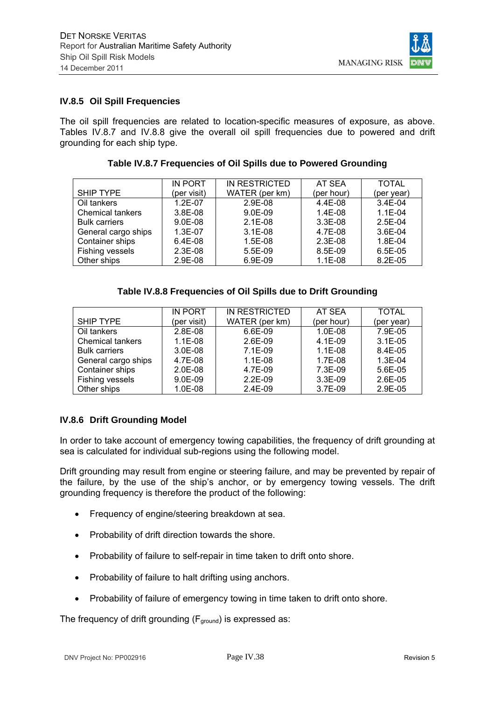

#### **IV.8.5 Oil Spill Frequencies**

The oil spill frequencies are related to location-specific measures of exposure, as above. Tables IV.8.7 and IV.8.8 give the overall oil spill frequencies due to powered and drift grounding for each ship type.

|                         | <b>IN PORT</b> | IN RESTRICTED  | AT SEA     | <b>TOTAL</b> |
|-------------------------|----------------|----------------|------------|--------------|
| SHIP TYPE               | (per visit)    | WATER (per km) | (per hour) | (per year)   |
| Oil tankers             | $1.2E - 07$    | 2.9E-08        | 4.4E-08    | $3.4E-04$    |
| <b>Chemical tankers</b> | 3.8E-08        | $9.0E-09$      | $1.4E-08$  | $1.1E-04$    |
| <b>Bulk carriers</b>    | $9.0E-08$      | $2.1E-08$      | $3.3E-08$  | 2.5E-04      |
| General cargo ships     | 1.3E-07        | $3.1E-08$      | 4.7E-08    | $3.6E-04$    |
| Container ships         | $6.4E-08$      | $1.5E-08$      | $2.3E-08$  | 1.8E-04      |
| Fishing vessels         | $2.3E-08$      | 5.5E-09        | 8.5E-09    | $6.5E-0.5$   |
| Other ships             | 2.9E-08        | 6.9E-09        | $1.1E-08$  | 8.2E-05      |

#### **Table IV.8.7 Frequencies of Oil Spills due to Powered Grounding**

## **Table IV.8.8 Frequencies of Oil Spills due to Drift Grounding**

|                         | IN PORT     | IN RESTRICTED  | AT SEA     | <b>TOTAL</b> |
|-------------------------|-------------|----------------|------------|--------------|
| SHIP TYPE               | (per visit) | WATER (per km) | (per hour) | (per year)   |
| Oil tankers             | $2.8E-08$   | 6.6E-09        | 1.0E-08    | 7.9E-05      |
| <b>Chemical tankers</b> | $1.1E-08$   | $2.6E-09$      | 4.1E-09    | $3.1E-05$    |
| <b>Bulk carriers</b>    | $3.0E-08$   | 7.1E-09        | $1.1E-08$  | 8.4E-05      |
| General cargo ships     | 4.7E-08     | $1.1E-08$      | 1.7E-08    | $1.3E-04$    |
| Container ships         | $2.0E-08$   | 4.7E-09        | 7.3E-09    | $5.6E-0.5$   |
| Fishing vessels         | $9.0E-09$   | $2.2E-09$      | 3.3E-09    | 2.6E-05      |
| Other ships             | 1.0E-08     | $2.4E-09$      | 3.7E-09    | $2.9E-05$    |

## **IV.8.6 Drift Grounding Model**

In order to take account of emergency towing capabilities, the frequency of drift grounding at sea is calculated for individual sub-regions using the following model.

Drift grounding may result from engine or steering failure, and may be prevented by repair of the failure, by the use of the ship's anchor, or by emergency towing vessels. The drift grounding frequency is therefore the product of the following:

- Frequency of engine/steering breakdown at sea.
- Probability of drift direction towards the shore.
- Probability of failure to self-repair in time taken to drift onto shore.
- Probability of failure to halt drifting using anchors.
- Probability of failure of emergency towing in time taken to drift onto shore.

The frequency of drift grounding  $(F_{ground})$  is expressed as: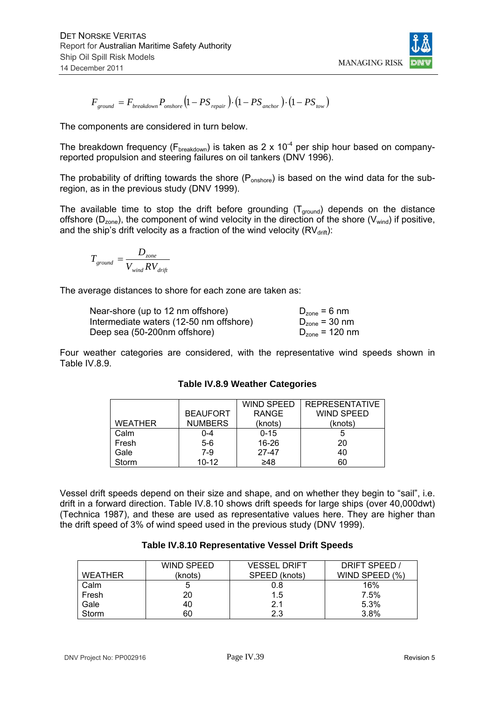

$$
F_{ground} = F_{breakdown} P_{onshore} (1 - PS_{repair}) \cdot (1 - PS_{anchor}) \cdot (1 - PS_{tow})
$$

The components are considered in turn below.

The breakdown frequency ( $F_{breakdown}$ ) is taken as 2 x 10<sup>-4</sup> per ship hour based on companyreported propulsion and steering failures on oil tankers (DNV 1996).

The probability of drifting towards the shore  $(P_{\text{onshore}})$  is based on the wind data for the subregion, as in the previous study (DNV 1999).

The available time to stop the drift before grounding  $(T_{ground})$  depends on the distance offshore ( $D_{zone}$ ), the component of wind velocity in the direction of the shore ( $V_{wind}$ ) if positive, and the ship's drift velocity as a fraction of the wind velocity  $\left(\text{RV}_{\text{drift}}\right)$ :

$$
T_{ground} = \frac{D_{zone}}{V_{wind}RV_{drift}}
$$

The average distances to shore for each zone are taken as:

| Near-shore (up to 12 nm offshore)       | $D_{zone} = 6$ nm   |
|-----------------------------------------|---------------------|
| Intermediate waters (12-50 nm offshore) | $D_{zone}$ = 30 nm  |
| Deep sea (50-200nm offshore)            | $D_{zone} = 120$ nm |

Four weather categories are considered, with the representative wind speeds shown in Table IV.8.9.

|                |                 | <b>WIND SPEED</b> | <b>REPRESENTATIVE</b> |
|----------------|-----------------|-------------------|-----------------------|
|                | <b>BEAUFORT</b> | <b>RANGE</b>      | <b>WIND SPEED</b>     |
| <b>WEATHER</b> | <b>NUMBERS</b>  | (knots)           | (knots)               |
| Calm           | 0-4             | $0 - 15$          |                       |
| Fresh          | $5-6$           | $16 - 26$         | 20                    |
| Gale           | $7-9$           | 27-47             | 40                    |
| Storm          | $10 - 12$       | ≥48               | 60                    |

## **Table IV.8.9 Weather Categories**

Vessel drift speeds depend on their size and shape, and on whether they begin to "sail", i.e. drift in a forward direction. Table IV.8.10 shows drift speeds for large ships (over 40,000dwt) (Technica 1987), and these are used as representative values here. They are higher than the drift speed of 3% of wind speed used in the previous study (DNV 1999).

| WEATHER | <b>WIND SPEED</b><br>(knots) | <b>VESSEL DRIFT</b><br>SPEED (knots) | DRIFT SPEED /<br>WIND SPEED (%) |
|---------|------------------------------|--------------------------------------|---------------------------------|
| Calm    |                              | 0.8                                  | 16%                             |
| Fresh   | 20                           | 1.5                                  | 7.5%                            |
| Gale    | 40                           | 2.1                                  | 5.3%                            |
| Storm   | 60                           | 2.3                                  | 3.8%                            |

#### **Table IV.8.10 Representative Vessel Drift Speeds**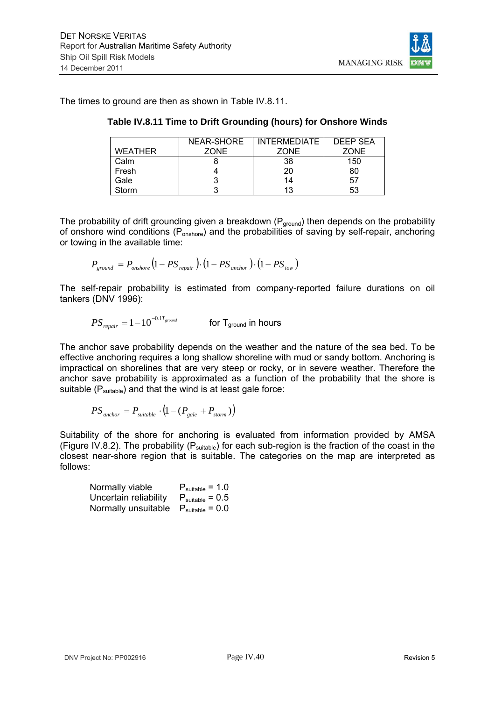The times to ground are then as shown in Table IV.8.11.

|                | NEAR-SHORE  | <b>INTERMEDIATE</b> | <b>DEEP SEA</b> |
|----------------|-------------|---------------------|-----------------|
| <b>WEATHER</b> | <b>ZONE</b> | <b>ZONE</b>         | <b>ZONE</b>     |
| Calm           |             | 38                  | 150             |
| Fresh          |             | 20                  | 80              |
| Gale           |             | 14                  | 57              |
| Storm          |             | 13                  | 53              |

**Table IV.8.11 Time to Drift Grounding (hours) for Onshore Winds** 

The probability of drift grounding given a breakdown ( $P_{ground}$ ) then depends on the probability of onshore wind conditions ( $P_{onshore}$ ) and the probabilities of saving by self-repair, anchoring or towing in the available time:

$$
P_{ground} = P_{onshore} (1 - PS_{repair}) \cdot (1 - PS_{anchor}) \cdot (1 - PS_{tow})
$$

The self-repair probability is estimated from company-reported failure durations on oil tankers (DNV 1996):

$$
PS_{\text{regular}} = 1 - 10^{-0.1T_{\text{ground}}} \qquad \qquad \text{for } T_{\text{ground}} \text{ in hours}
$$

The anchor save probability depends on the weather and the nature of the sea bed. To be effective anchoring requires a long shallow shoreline with mud or sandy bottom. Anchoring is impractical on shorelines that are very steep or rocky, or in severe weather. Therefore the anchor save probability is approximated as a function of the probability that the shore is suitable  $(P_{suitable})$  and that the wind is at least gale force:

$$
PS_{\text{anchor}} = P_{\text{suitable}} \cdot (1 - (P_{\text{gale}} + P_{\text{storm}}))
$$

Suitability of the shore for anchoring is evaluated from information provided by AMSA (Figure IV.8.2). The probability ( $P_{suitable}$ ) for each sub-region is the fraction of the coast in the closest near-shore region that is suitable. The categories on the map are interpreted as follows:

| Normally viable                                   | $P_{\text{suitable}} = 1.0$ |
|---------------------------------------------------|-----------------------------|
| Uncertain reliability $P_{\text{suitable}} = 0.5$ |                             |
| Normally unsuitable $P_{\text{suitable}} = 0.0$   |                             |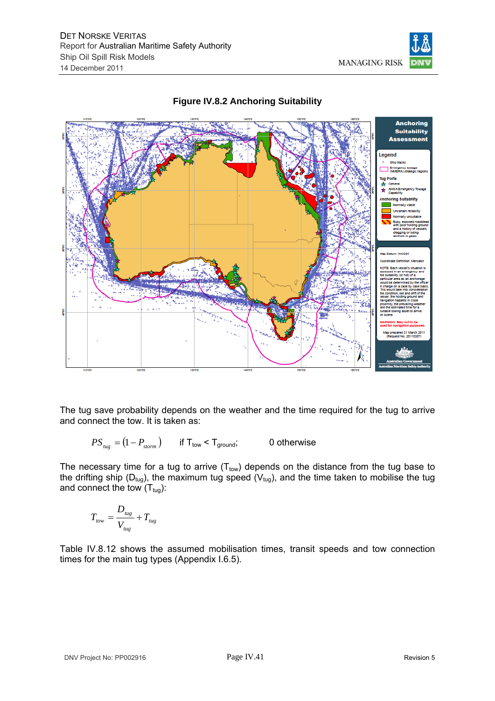



## **Figure IV.8.2 Anchoring Suitability**

The tug save probability depends on the weather and the time required for the tug to arrive and connect the tow. It is taken as:

$$
PS_{\text{tug}} = (1 - P_{\text{storm}}) \qquad \text{if } T_{\text{tow}} < T_{\text{ground}}; \qquad 0 \text{ otherwise}
$$

The necessary time for a tug to arrive  $(T_{\text{tow}})$  depends on the distance from the tug base to the drifting ship ( $D_{tug}$ ), the maximum tug speed ( $V_{tug}$ ), and the time taken to mobilise the tug and connect the tow  $(T_{tug})$ :

$$
T_{\text{row}} = \frac{D_{\text{tug}}}{V_{\text{tug}}} + T_{\text{tug}}
$$

Table IV.8.12 shows the assumed mobilisation times, transit speeds and tow connection times for the main tug types (Appendix I.6.5).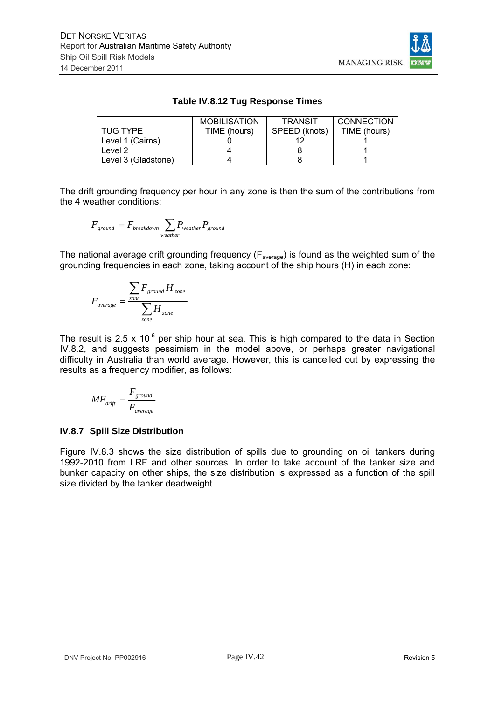

## **Table IV.8.12 Tug Response Times**

|                     | <b>MOBILISATION</b> | <b>TRANSIT</b> | <b>CONNECTION</b> |
|---------------------|---------------------|----------------|-------------------|
| TUG TYPE            | TIME (hours)        | SPEED (knots)  | TIME (hours)      |
| Level 1 (Cairns)    |                     |                |                   |
| Level 2             |                     |                |                   |
| Level 3 (Gladstone) |                     |                |                   |

The drift grounding frequency per hour in any zone is then the sum of the contributions from the 4 weather conditions:

$$
F_{ground} = F_{breakdown} \sum_{weather} P_{weather} P_{ground}
$$

The national average drift grounding frequency ( $F_{\text{average}}$ ) is found as the weighted sum of the grounding frequencies in each zone, taking account of the ship hours (H) in each zone:

$$
F_{average} = \frac{\sum_{zone} F_{ground} H_{zone}}{\sum_{zone} H_{zone}}
$$

The result is 2.5 x  $10^{-6}$  per ship hour at sea. This is high compared to the data in Section IV.8.2, and suggests pessimism in the model above, or perhaps greater navigational difficulty in Australia than world average. However, this is cancelled out by expressing the results as a frequency modifier, as follows:

$$
MF_{\text{drift}} = \frac{F_{\text{ground}}}{F_{\text{average}}}
$$

## **IV.8.7 Spill Size Distribution**

Figure IV.8.3 shows the size distribution of spills due to grounding on oil tankers during 1992-2010 from LRF and other sources. In order to take account of the tanker size and bunker capacity on other ships, the size distribution is expressed as a function of the spill size divided by the tanker deadweight.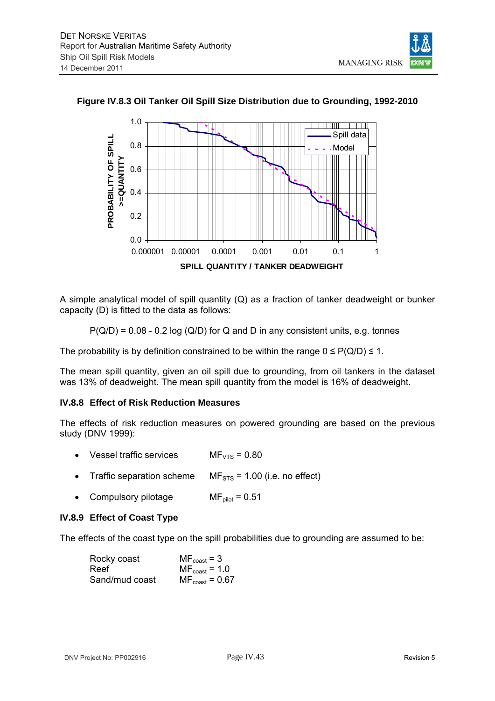



#### **Figure IV.8.3 Oil Tanker Oil Spill Size Distribution due to Grounding, 1992-2010**

A simple analytical model of spill quantity (Q) as a fraction of tanker deadweight or bunker capacity (D) is fitted to the data as follows:

 $P(Q/D) = 0.08 - 0.2 \log (Q/D)$  for Q and D in any consistent units, e.g. tonnes

The probability is by definition constrained to be within the range  $0 \leq P(Q/D) \leq 1$ .

The mean spill quantity, given an oil spill due to grounding, from oil tankers in the dataset was 13% of deadweight. The mean spill quantity from the model is 16% of deadweight.

#### **IV.8.8 Effect of Risk Reduction Measures**

The effects of risk reduction measures on powered grounding are based on the previous study (DNV 1999):

- Vessel traffic services  $MF_{VTS} = 0.80$
- Traffic separation scheme  $MF_{STS} = 1.00$  (i.e. no effect)
- Compulsory pilotage  $MF_{pilot} = 0.51$

#### **IV.8.9 Effect of Coast Type**

The effects of the coast type on the spill probabilities due to grounding are assumed to be:

| Rocky coast    | $MF_{\text{coast}} = 3$    |
|----------------|----------------------------|
| Reef           | $MF_{\text{coast}} = 1.0$  |
| Sand/mud coast | $MF_{\text{coast}} = 0.67$ |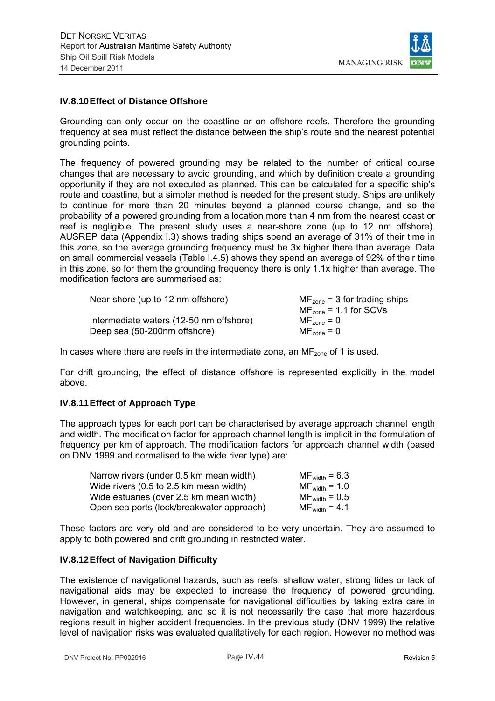

#### **IV.8.10 Effect of Distance Offshore**

Grounding can only occur on the coastline or on offshore reefs. Therefore the grounding frequency at sea must reflect the distance between the ship's route and the nearest potential grounding points.

The frequency of powered grounding may be related to the number of critical course changes that are necessary to avoid grounding, and which by definition create a grounding opportunity if they are not executed as planned. This can be calculated for a specific ship's route and coastline, but a simpler method is needed for the present study. Ships are unlikely to continue for more than 20 minutes beyond a planned course change, and so the probability of a powered grounding from a location more than 4 nm from the nearest coast or reef is negligible. The present study uses a near-shore zone (up to 12 nm offshore). AUSREP data (Appendix I.3) shows trading ships spend an average of 31% of their time in this zone, so the average grounding frequency must be 3x higher there than average. Data on small commercial vessels (Table I.4.5) shows they spend an average of 92% of their time in this zone, so for them the grounding frequency there is only 1.1x higher than average. The modification factors are summarised as:

| Near-shore (up to 12 nm offshore)       | $MF_{zone}$ = 3 for trading ships |
|-----------------------------------------|-----------------------------------|
|                                         | $MFzone = 1.1$ for SCVs           |
| Intermediate waters (12-50 nm offshore) | $MF_{zone} = 0$                   |
| Deep sea (50-200nm offshore)            | $MF_{zone} = 0$                   |

In cases where there are reefs in the intermediate zone, an  $MF_{\text{zone}}$  of 1 is used.

For drift grounding, the effect of distance offshore is represented explicitly in the model above.

## **IV.8.11 Effect of Approach Type**

The approach types for each port can be characterised by average approach channel length and width. The modification factor for approach channel length is implicit in the formulation of frequency per km of approach. The modification factors for approach channel width (based on DNV 1999 and normalised to the wide river type) are:

| Narrow rivers (under 0.5 km mean width)   | $MF_{width} = 6.3$ |
|-------------------------------------------|--------------------|
| Wide rivers (0.5 to 2.5 km mean width)    | $MF_{width} = 1.0$ |
| Wide estuaries (over 2.5 km mean width)   | $MF_{width} = 0.5$ |
| Open sea ports (lock/breakwater approach) | $MF_{width} = 4.1$ |

These factors are very old and are considered to be very uncertain. They are assumed to apply to both powered and drift grounding in restricted water.

#### **IV.8.12 Effect of Navigation Difficulty**

The existence of navigational hazards, such as reefs, shallow water, strong tides or lack of navigational aids may be expected to increase the frequency of powered grounding. However, in general, ships compensate for navigational difficulties by taking extra care in navigation and watchkeeping, and so it is not necessarily the case that more hazardous regions result in higher accident frequencies. In the previous study (DNV 1999) the relative level of navigation risks was evaluated qualitatively for each region. However no method was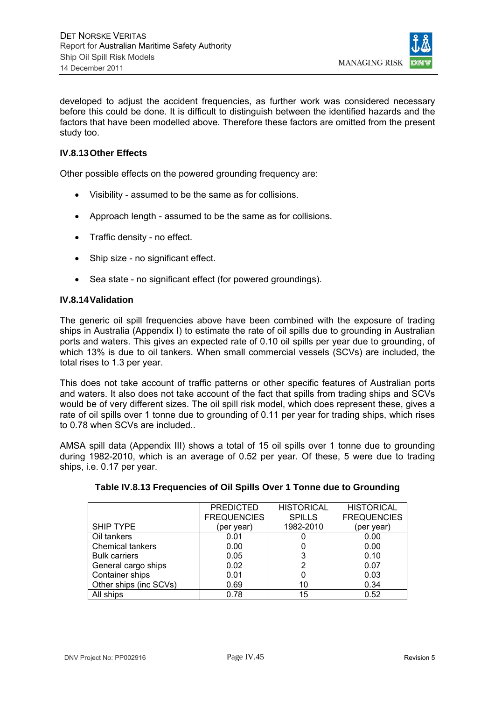

developed to adjust the accident frequencies, as further work was considered necessary before this could be done. It is difficult to distinguish between the identified hazards and the factors that have been modelled above. Therefore these factors are omitted from the present study too.

## **IV.8.13 Other Effects**

Other possible effects on the powered grounding frequency are:

- Visibility assumed to be the same as for collisions.
- Approach length assumed to be the same as for collisions.
- Traffic density no effect.
- Ship size no significant effect.
- Sea state no significant effect (for powered groundings).

#### **IV.8.14 Validation**

The generic oil spill frequencies above have been combined with the exposure of trading ships in Australia (Appendix I) to estimate the rate of oil spills due to grounding in Australian ports and waters. This gives an expected rate of 0.10 oil spills per year due to grounding, of which 13% is due to oil tankers. When small commercial vessels (SCVs) are included, the total rises to 1.3 per year.

This does not take account of traffic patterns or other specific features of Australian ports and waters. It also does not take account of the fact that spills from trading ships and SCVs would be of very different sizes. The oil spill risk model, which does represent these, gives a rate of oil spills over 1 tonne due to grounding of 0.11 per year for trading ships, which rises to 0.78 when SCVs are included.

AMSA spill data (Appendix III) shows a total of 15 oil spills over 1 tonne due to grounding during 1982-2010, which is an average of 0.52 per year. Of these, 5 were due to trading ships, i.e. 0.17 per year.

|                         | <b>PREDICTED</b>   | <b>HISTORICAL</b> | <b>HISTORICAL</b>  |
|-------------------------|--------------------|-------------------|--------------------|
|                         | <b>FREQUENCIES</b> | <b>SPILLS</b>     | <b>FREQUENCIES</b> |
| <b>SHIP TYPE</b>        | (per year)         | 1982-2010         | (per year)         |
| Oil tankers             | 0.01               |                   | 0.00               |
| <b>Chemical tankers</b> | 0.00               |                   | 0.00               |
| <b>Bulk carriers</b>    | 0.05               | 3                 | 0.10               |
| General cargo ships     | 0.02               | 2                 | 0.07               |
| Container ships         | 0.01               |                   | 0.03               |
| Other ships (inc SCVs)  | 0.69               | 10                | 0.34               |
| All ships               | 0.78               | 15                | 0.52               |

#### **Table IV.8.13 Frequencies of Oil Spills Over 1 Tonne due to Grounding**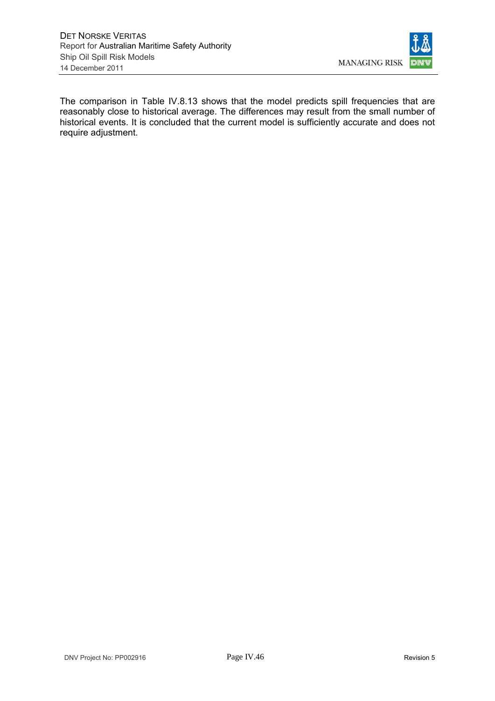

The comparison in Table IV.8.13 shows that the model predicts spill frequencies that are reasonably close to historical average. The differences may result from the small number of historical events. It is concluded that the current model is sufficiently accurate and does not require adjustment.